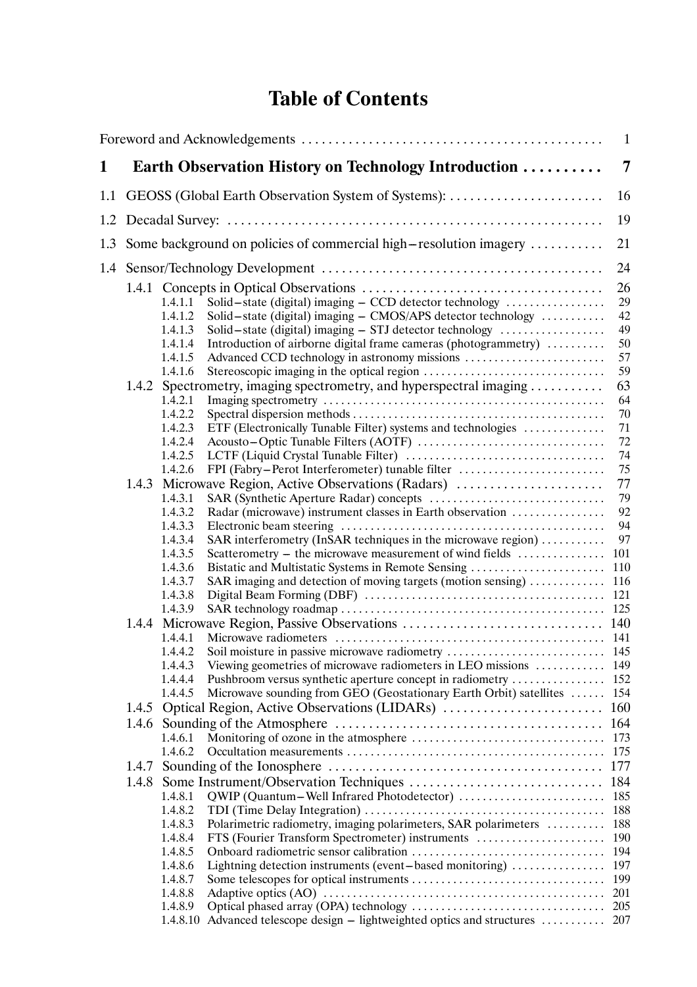## **Table of Contents**

|     |                |                                                                                                             |                                                                                                                                                                                                                                                                                                                                                                      | 1                                                                         |
|-----|----------------|-------------------------------------------------------------------------------------------------------------|----------------------------------------------------------------------------------------------------------------------------------------------------------------------------------------------------------------------------------------------------------------------------------------------------------------------------------------------------------------------|---------------------------------------------------------------------------|
| 1   |                |                                                                                                             | Earth Observation History on Technology Introduction                                                                                                                                                                                                                                                                                                                 | 7                                                                         |
| 1.1 |                |                                                                                                             | GEOSS (Global Earth Observation System of Systems):                                                                                                                                                                                                                                                                                                                  | 16                                                                        |
| 1.2 |                |                                                                                                             |                                                                                                                                                                                                                                                                                                                                                                      | 19                                                                        |
|     |                |                                                                                                             | 1.3 Some background on policies of commercial high-resolution imagery                                                                                                                                                                                                                                                                                                | 21                                                                        |
| 1.4 |                | 24                                                                                                          |                                                                                                                                                                                                                                                                                                                                                                      |                                                                           |
|     |                | 1.4.1.1<br>1.4.1.2<br>1.4.1.3<br>1.4.1.4<br>1.4.1.5                                                         | Solid-state (digital) imaging - CCD detector technology<br>Solid-state (digital) imaging - CMOS/APS detector technology<br>Solid-state (digital) imaging $-$ STJ detector technology $\dots\dots\dots\dots\dots\dots$<br>Introduction of airborne digital frame cameras (photogrammetry)<br>Advanced CCD technology in astronomy missions                            | 26<br>29<br>42<br>49<br>50<br>57                                          |
|     |                | 1.4.1.6<br>1.4.2.1<br>1.4.2.2<br>1.4.2.3                                                                    | 1.4.2 Spectrometry, imaging spectrometry, and hyperspectral imaging<br>ETF (Electronically Tunable Filter) systems and technologies                                                                                                                                                                                                                                  | 59<br>63<br>64<br>70<br>71                                                |
|     |                | 1.4.2.4<br>1.4.2.5<br>1.4.2.6                                                                               | FPI (Fabry-Perot Interferometer) tunable filter                                                                                                                                                                                                                                                                                                                      | 72<br>74<br>75                                                            |
|     |                | 1.4.3.1<br>1.4.3.2<br>1.4.3.3<br>1.4.3.4<br>1.4.3.5<br>1.4.3.6<br>1.4.3.7<br>1.4.3.8<br>1.4.3.9             | 1.4.3 Microwave Region, Active Observations (Radars)<br>Radar (microwave) instrument classes in Earth observation<br>SAR interferometry (InSAR techniques in the microwave region)<br>Scatterometry – the microwave measurement of wind fields<br>Bistatic and Multistatic Systems in Remote Sensing<br>SAR imaging and detection of moving targets (motion sensing) | 77<br>79<br>92<br>94<br>97<br>101<br>110<br>116                           |
|     |                | 1.4.4.1<br>1.4.4.2<br>1.4.4.3<br>1.4.4.4<br>1.4.4.5                                                         | Viewing geometries of microwave radiometers in LEO missions<br>Pushbroom versus synthetic aperture concept in radiometry<br>Microwave sounding from GEO (Geostationary Earth Orbit) satellites  154                                                                                                                                                                  | 149<br>-152                                                               |
|     | 1.4.5<br>1.4.6 | 1.4.6.1<br>1.4.6.2                                                                                          |                                                                                                                                                                                                                                                                                                                                                                      | 160<br>164<br>173<br>175                                                  |
|     | 1.4.7<br>1.4.8 | 1.4.8.1<br>1.4.8.2<br>1.4.8.3<br>1.4.8.4<br>1.4.8.5<br>1.4.8.6<br>1.4.8.7<br>1.4.8.8<br>1.4.8.9<br>1.4.8.10 | Polarimetric radiometry, imaging polarimeters, SAR polarimeters<br>FTS (Fourier Transform Spectrometer) instruments<br>Lightning detection instruments (event-based monitoring)<br>Advanced telescope design – lightweighted optics and structures  207                                                                                                              | 177<br>184<br>185<br>188<br>188<br>190<br>194<br>197<br>199<br>201<br>205 |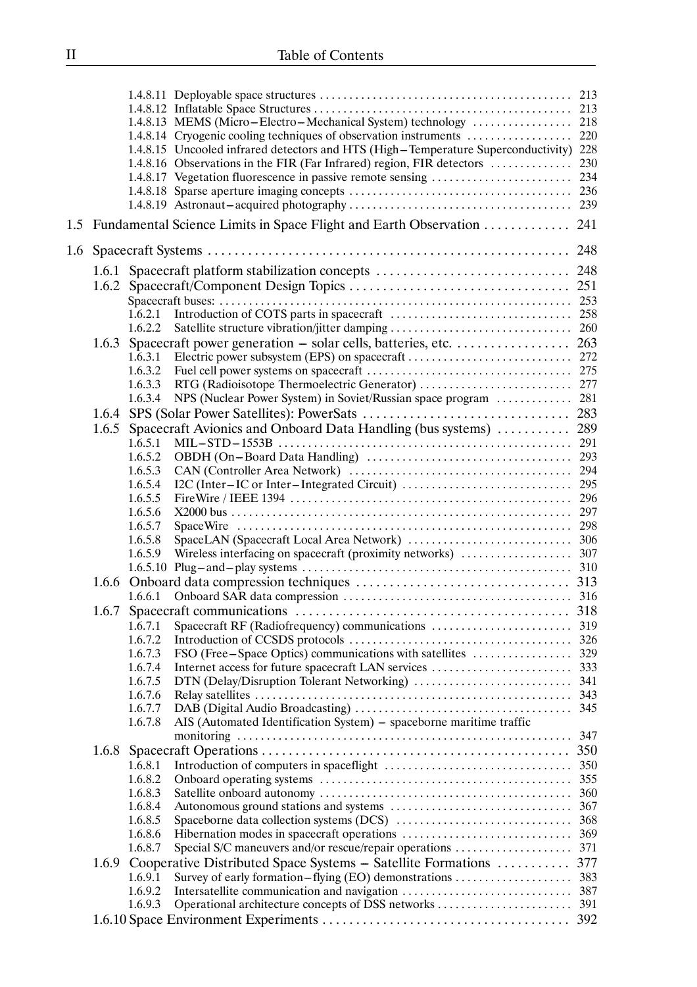|     |       |         | 1.4.8.13 MEMS (Micro-Electro-Mechanical System) technology                            | 218 |
|-----|-------|---------|---------------------------------------------------------------------------------------|-----|
|     |       |         | 1.4.8.14 Cryogenic cooling techniques of observation instruments                      | 220 |
|     |       |         | 1.4.8.15 Uncooled infrared detectors and HTS (High-Temperature Superconductivity) 228 |     |
|     |       |         |                                                                                       |     |
|     |       |         | 1.4.8.17 Vegetation fluorescence in passive remote sensing                            | 234 |
|     |       |         |                                                                                       |     |
|     |       |         |                                                                                       |     |
|     |       |         | 1.5 Fundamental Science Limits in Space Flight and Earth Observation  241             |     |
| 1.6 |       |         |                                                                                       |     |
|     |       |         | 1.6.1 Spacecraft platform stabilization concepts  248                                 |     |
|     |       |         |                                                                                       |     |
|     |       |         |                                                                                       |     |
|     |       |         |                                                                                       |     |
|     |       | 1.6.2.2 |                                                                                       |     |
|     |       |         |                                                                                       |     |
|     |       | 1.6.3.1 |                                                                                       |     |
|     |       | 1.6.3.2 |                                                                                       |     |
|     |       | 1.6.3.3 |                                                                                       |     |
|     |       | 1.6.3.4 | NPS (Nuclear Power System) in Soviet/Russian space program  281                       |     |
|     |       |         |                                                                                       |     |
|     | 1.6.5 |         | Spacecraft Avionics and Onboard Data Handling (bus systems)                           | 289 |
|     |       | 1.6.5.1 |                                                                                       | 291 |
|     |       | 1.6.5.2 |                                                                                       |     |
|     |       | 1.6.5.3 |                                                                                       |     |
|     |       | 1.6.5.4 |                                                                                       |     |
|     |       | 1.6.5.5 |                                                                                       |     |
|     |       | 1.6.5.6 |                                                                                       |     |
|     |       | 1.6.5.7 |                                                                                       |     |
|     |       | 1.6.5.8 |                                                                                       |     |
|     |       | 1.6.5.9 |                                                                                       |     |
|     |       |         |                                                                                       |     |
|     |       |         |                                                                                       |     |
|     |       | 1.6.6.1 |                                                                                       |     |
|     | 1.6.7 |         |                                                                                       |     |
|     |       | 1.6.7.1 | Spacecraft RF (Radiofrequency) communications                                         | 319 |
|     |       | 1.6.7.2 |                                                                                       | 326 |
|     |       | 1.6.7.3 | FSO (Free - Space Optics) communications with satellites                              | 329 |
|     |       | 1.6.7.4 | Internet access for future spacecraft LAN services                                    | 333 |
|     |       | 1.6.7.5 |                                                                                       | 341 |
|     |       | 1.6.7.6 |                                                                                       | 343 |
|     |       | 1.6.7.7 |                                                                                       | 345 |
|     |       | 1.6.7.8 | AIS (Automated Identification System) - spaceborne maritime traffic                   |     |
|     |       |         |                                                                                       | 347 |
|     | 1.6.8 |         |                                                                                       | 350 |
|     |       | 1.6.8.1 |                                                                                       | 350 |
|     |       | 1.6.8.2 |                                                                                       | 355 |
|     |       | 1.6.8.3 |                                                                                       | 360 |
|     |       | 1.6.8.4 |                                                                                       | 367 |
|     |       | 1.6.8.5 |                                                                                       | 368 |
|     |       | 1.6.8.6 |                                                                                       | 369 |
|     |       | 1.6.8.7 | Special S/C maneuvers and/or rescue/repair operations                                 | 371 |
|     |       |         | 1.6.9 Cooperative Distributed Space Systems - Satellite Formations                    | 377 |
|     |       | 1.6.9.1 | Survey of early formation-flying (EO) demonstrations                                  | 383 |
|     |       | 1.6.9.2 |                                                                                       | 387 |
|     |       | 1.6.9.3 |                                                                                       |     |
|     |       |         |                                                                                       | 392 |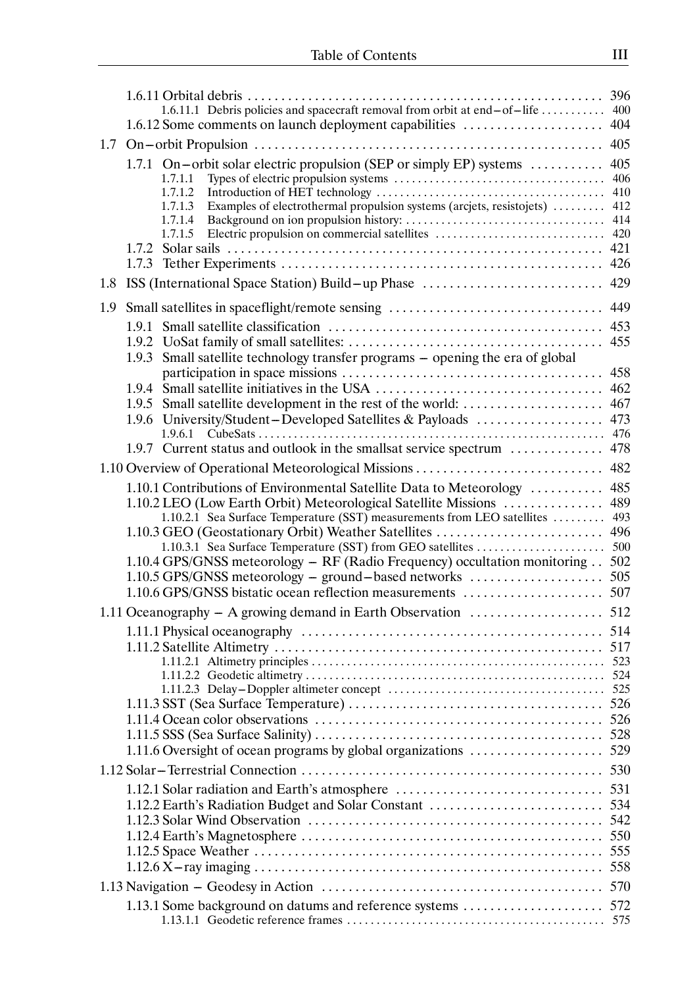|     |                                                                                                                                           | 396        |
|-----|-------------------------------------------------------------------------------------------------------------------------------------------|------------|
|     | 1.6.11.1 Debris policies and spacecraft removal from orbit at end-of-life                                                                 | 400        |
|     | 1.6.12 Some comments on launch deployment capabilities                                                                                    | 404        |
| 1.7 |                                                                                                                                           | 405        |
|     | 1.7.1 On-orbit solar electric propulsion (SEP or simply EP) systems                                                                       | 405<br>406 |
|     | 1.7.1.1<br>1.7.1.2                                                                                                                        | 410        |
|     | Examples of electrothermal propulsion systems (arcjets, resistojets)<br>1.7.1.3                                                           | 412        |
|     | 1.7.1.4                                                                                                                                   | 414        |
|     | Electric propulsion on commercial satellites<br>1.7.1.5                                                                                   | 420        |
|     |                                                                                                                                           | 421<br>426 |
| 1.8 | ISS (International Space Station) Build-up Phase                                                                                          | 429        |
|     |                                                                                                                                           |            |
| 1.9 | Small satellites in spaceflight/remote sensing                                                                                            | 449        |
|     | 1.9.1                                                                                                                                     | 453<br>455 |
|     | Small satellite technology transfer programs - opening the era of global<br>1.9.3                                                         |            |
|     |                                                                                                                                           | 458        |
|     |                                                                                                                                           | 462        |
|     | 1.9.5 Small satellite development in the rest of the world:                                                                               | 467        |
|     | 1.9.6 University/Student-Developed Satellites & Payloads                                                                                  | 473        |
|     | 1.9.7 Current status and outlook in the smallsat service spectrum                                                                         | 476        |
|     |                                                                                                                                           | 478        |
|     | 1.10 Overview of Operational Meteorological Missions                                                                                      | 482        |
|     | 1.10.1 Contributions of Environmental Satellite Data to Meteorology                                                                       | 485        |
|     | 1.10.2 LEO (Low Earth Orbit) Meteorological Satellite Missions<br>1.10.2.1 Sea Surface Temperature (SST) measurements from LEO satellites | 489<br>493 |
|     | 1.10.3 GEO (Geostationary Orbit) Weather Satellites                                                                                       | 496        |
|     | 1.10.3.1 Sea Surface Temperature (SST) from GEO satellites                                                                                | 500        |
|     | 1.10.4 GPS/GNSS meteorology - RF (Radio Frequency) occultation monitoring 502                                                             |            |
|     | 1.10.5 GPS/GNSS meteorology – ground–based networks                                                                                       | 505        |
|     | 1.10.6 GPS/GNSS bistatic ocean reflection measurements                                                                                    | 507        |
|     | 1.11 Oceanography – A growing demand in Earth Observation                                                                                 | 512        |
|     |                                                                                                                                           | 517        |
|     |                                                                                                                                           | 523        |
|     |                                                                                                                                           | 524        |
|     |                                                                                                                                           |            |
|     |                                                                                                                                           | 526        |
|     |                                                                                                                                           | 526<br>528 |
|     | 1.11.6 Oversight of ocean programs by global organizations                                                                                | 529        |
|     |                                                                                                                                           | 530        |
|     |                                                                                                                                           |            |
|     | 1.12.2 Earth's Radiation Budget and Solar Constant                                                                                        | 534        |
|     |                                                                                                                                           | 542        |
|     |                                                                                                                                           | 550        |
|     |                                                                                                                                           | 555        |
|     |                                                                                                                                           | 558        |
|     |                                                                                                                                           | 570        |
|     | 1.13.1 Some background on datums and reference systems  572                                                                               |            |
|     |                                                                                                                                           |            |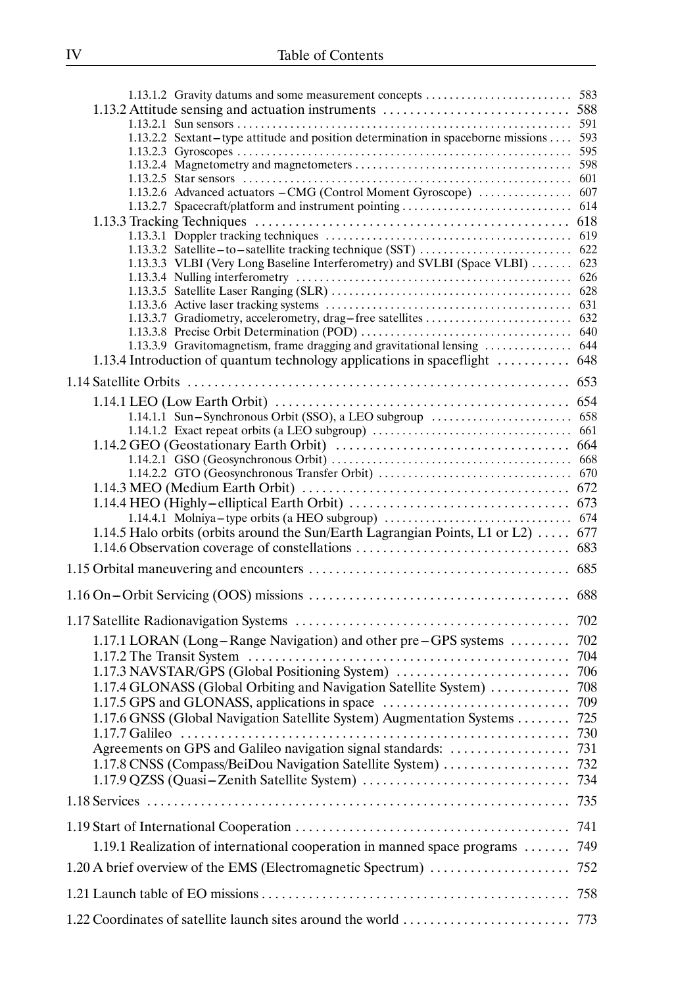|                                                                                  | 591 |
|----------------------------------------------------------------------------------|-----|
| 1.13.2.2 Sextant-type attitude and position determination in spaceborne missions | 593 |
|                                                                                  | 595 |
|                                                                                  |     |
|                                                                                  | 601 |
| 1.13.2.6 Advanced actuators - CMG (Control Moment Gyroscope)                     | 607 |
| 1.13.2.7 Spacecraft/platform and instrument pointing                             | 614 |
|                                                                                  | 618 |
|                                                                                  | 619 |
| 1.13.3.2 Satellite-to-satellite tracking technique (SST)                         | 622 |
| 1.13.3.3 VLBI (Very Long Baseline Interferometry) and SVLBI (Space VLBI)         | 623 |
|                                                                                  | 626 |
|                                                                                  | 628 |
|                                                                                  |     |
|                                                                                  |     |
|                                                                                  |     |
| 1.13.3.9 Gravitomagnetism, frame dragging and gravitational lensing              | 644 |
| 1.13.4 Introduction of quantum technology applications in spaceflight            | 648 |
|                                                                                  | 653 |
|                                                                                  |     |
|                                                                                  | 654 |
|                                                                                  |     |
|                                                                                  |     |
|                                                                                  |     |
|                                                                                  |     |
|                                                                                  |     |
|                                                                                  |     |
|                                                                                  | 673 |
|                                                                                  | 674 |
| 1.14.5 Halo orbits (orbits around the Sun/Earth Lagrangian Points, L1 or L2)     | 677 |
| 1.14.6 Observation coverage of constellations                                    | 683 |
|                                                                                  |     |
|                                                                                  | 685 |
|                                                                                  | 688 |
|                                                                                  |     |
| 1.17.1 LORAN (Long-Range Navigation) and other pre-GPS systems                   | 702 |
|                                                                                  | 704 |
| 1.17.3 NAVSTAR/GPS (Global Positioning System)                                   |     |
|                                                                                  | 706 |
| 1.17.4 GLONASS (Global Orbiting and Navigation Satellite System)                 | 708 |
| 1.17.5 GPS and GLONASS, applications in space                                    | 709 |
| 1.17.6 GNSS (Global Navigation Satellite System) Augmentation Systems            | 725 |
|                                                                                  |     |
|                                                                                  |     |
| 1.17.8 CNSS (Compass/BeiDou Navigation Satellite System)                         | 732 |
|                                                                                  | 734 |
|                                                                                  |     |
|                                                                                  | 735 |
|                                                                                  | 741 |
| 1.19.1 Realization of international cooperation in manned space programs         | 749 |
|                                                                                  |     |
| 1.20 A brief overview of the EMS (Electromagnetic Spectrum)                      | 752 |
|                                                                                  | 758 |
|                                                                                  |     |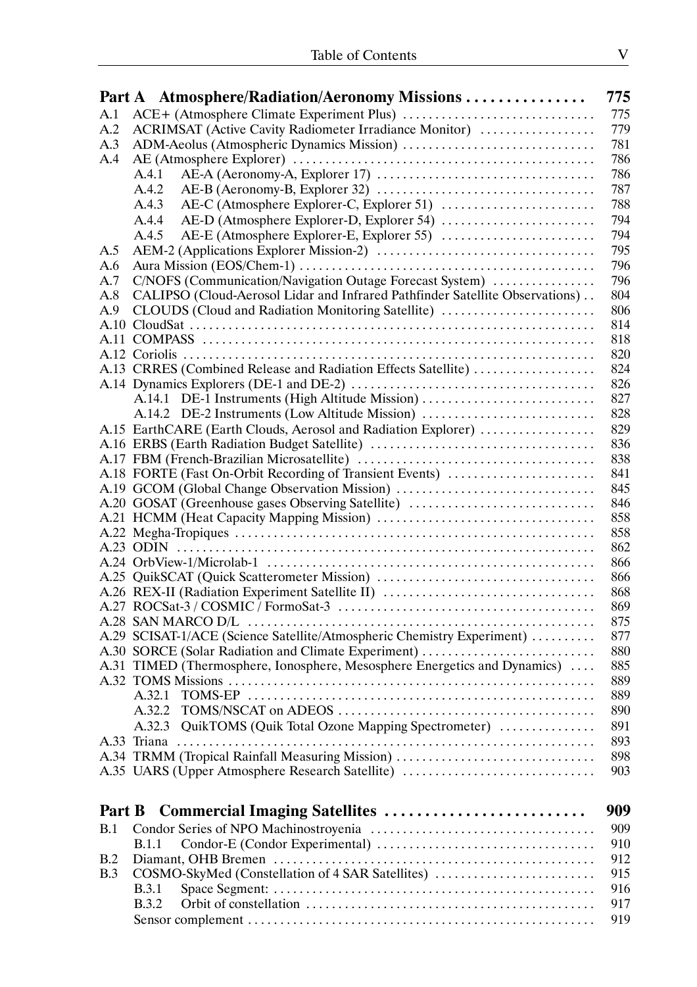|        | Part A Atmosphere/Radiation/Aeronomy Missions                                | 775        |
|--------|------------------------------------------------------------------------------|------------|
| A.1    |                                                                              | 775        |
| A.2    | ACRIMSAT (Active Cavity Radiometer Irradiance Monitor)                       | 779        |
| A.3    | ADM-Aeolus (Atmospheric Dynamics Mission)                                    | 781        |
| A.4    |                                                                              | 786        |
|        | A.4.1                                                                        | 786        |
|        | A.4.2                                                                        | 787        |
|        | AE-C (Atmosphere Explorer-C, Explorer 51)<br>A.4.3                           | 788        |
|        | A.4.4<br>AE-D (Atmosphere Explorer-D, Explorer 54)                           | 794        |
|        | AE-E (Atmosphere Explorer-E, Explorer 55)<br>A.4.5                           | 794        |
| A.5    |                                                                              | 795        |
| A.6    |                                                                              | 796        |
| A.7    | C/NOFS (Communication/Navigation Outage Forecast System)                     | 796        |
| A.8    | CALIPSO (Cloud-Aerosol Lidar and Infrared Pathfinder Satellite Observations) | 804        |
| A.9    | CLOUDS (Cloud and Radiation Monitoring Satellite)                            | 806        |
|        |                                                                              | 814        |
|        |                                                                              | 818        |
|        |                                                                              | 820        |
|        | A.13 CRRES (Combined Release and Radiation Effects Satellite)                | 824        |
|        |                                                                              | 826        |
|        | A.14.1 DE-1 Instruments (High Altitude Mission)                              | 827        |
|        | A.14.2 DE-2 Instruments (Low Altitude Mission)                               | 828        |
|        | A.15 EarthCARE (Earth Clouds, Aerosol and Radiation Explorer)                | 829        |
|        |                                                                              | 836        |
|        |                                                                              | 838        |
|        | A.18 FORTE (Fast On-Orbit Recording of Transient Events)                     | 841        |
|        | A.19 GCOM (Global Change Observation Mission)                                | 845        |
|        | A.20 GOSAT (Greenhouse gases Observing Satellite)                            | 846        |
|        |                                                                              | 858        |
|        |                                                                              | 858        |
|        |                                                                              | 862        |
|        |                                                                              | 866        |
|        |                                                                              | 866        |
|        | A.26 REX-II (Radiation Experiment Satellite II)                              | 868        |
|        |                                                                              | 869        |
|        |                                                                              | 875        |
|        | A.29 SCISAT-1/ACE (Science Satellite/Atmospheric Chemistry Experiment)       | 877        |
|        | A.30 SORCE (Solar Radiation and Climate Experiment)                          | 880        |
|        | A.31 TIMED (Thermosphere, Ionosphere, Mesosphere Energetics and Dynamics)    | 885        |
|        |                                                                              | 889        |
|        | A.32.1                                                                       | 889        |
|        | A.32.2                                                                       | 890        |
|        | A.32.3 QuikTOMS (Quik Total Ozone Mapping Spectrometer)                      | 891        |
|        |                                                                              | 893        |
|        | A.34 TRMM (Tropical Rainfall Measuring Mission)                              | 898        |
|        | A.35 UARS (Upper Atmosphere Research Satellite)                              | 903        |
| Part B | Commercial Imaging Satellites                                                | 909        |
|        |                                                                              |            |
| B.1    |                                                                              | 909<br>910 |
|        | <b>B.1.1</b>                                                                 |            |
| B.2    |                                                                              | 912        |
| B.3    | COSMO-SkyMed (Constellation of 4 SAR Satellites)                             | 915        |
|        | <b>B.3.1</b>                                                                 | 916        |
|        | <b>B.3.2</b>                                                                 | 917        |
|        |                                                                              | 919        |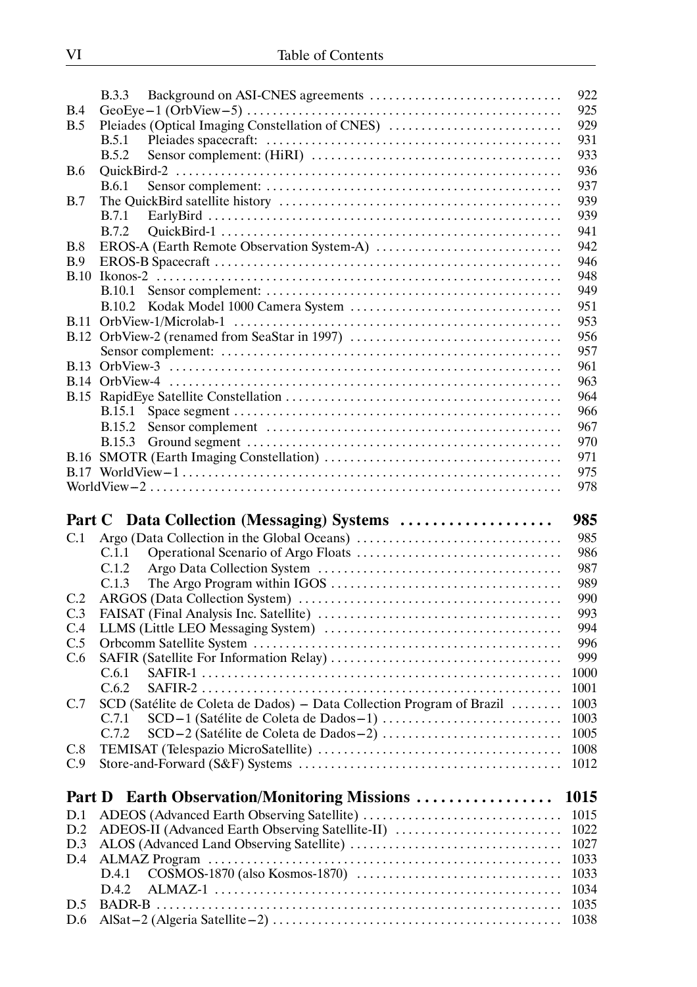|             | <b>B.3.3</b>                                                                                                                       | 922                  |
|-------------|------------------------------------------------------------------------------------------------------------------------------------|----------------------|
| B.4         | GeoEye-1 (OrbView-5) $\dots \dots \dots \dots \dots \dots \dots \dots \dots \dots \dots \dots \dots \dots \dots \dots \dots \dots$ | 925                  |
| B.5         | Pleiades (Optical Imaging Constellation of CNES)                                                                                   | 929                  |
|             | B.5.1                                                                                                                              | 931                  |
|             | B.5.2                                                                                                                              | 933                  |
| <b>B.6</b>  |                                                                                                                                    | 936                  |
|             | <b>B.6.1</b>                                                                                                                       | 937                  |
| B.7         |                                                                                                                                    | 939                  |
|             | <b>B.7.1</b>                                                                                                                       | 939                  |
|             | <b>B.7.2</b>                                                                                                                       | 941                  |
| B.8         |                                                                                                                                    | 942                  |
| B.9         |                                                                                                                                    | 946                  |
| B.10        |                                                                                                                                    | 948                  |
|             | <b>B.10.1</b>                                                                                                                      | 949                  |
|             | <b>B.10.2</b>                                                                                                                      | 951                  |
| <b>B.11</b> |                                                                                                                                    | 953                  |
|             |                                                                                                                                    | 956                  |
|             |                                                                                                                                    | 957                  |
|             |                                                                                                                                    | 961                  |
|             |                                                                                                                                    | 963                  |
|             |                                                                                                                                    | 964                  |
|             | <b>B.15.1</b>                                                                                                                      | 966                  |
|             | <b>B.15.2</b>                                                                                                                      | 967                  |
|             | <b>B.15.3</b>                                                                                                                      | 970                  |
|             |                                                                                                                                    | 971                  |
|             |                                                                                                                                    | 975                  |
|             |                                                                                                                                    | 978                  |
|             |                                                                                                                                    |                      |
|             |                                                                                                                                    |                      |
|             | Part C Data Collection (Messaging) Systems                                                                                         | 985                  |
| C.1         |                                                                                                                                    | 985                  |
|             | C.1.1                                                                                                                              | 986                  |
|             | C.1.2                                                                                                                              | 987                  |
|             | C.1.3                                                                                                                              | 989                  |
| C.2         |                                                                                                                                    | 990                  |
| C.3         |                                                                                                                                    | 993                  |
| C.4         |                                                                                                                                    | 994                  |
| C.5         |                                                                                                                                    | 996                  |
| C.6         |                                                                                                                                    | 999                  |
|             | C.6.1                                                                                                                              | 1000                 |
|             | C.6.2                                                                                                                              | 1001                 |
| C.7         | SCD (Satélite de Coleta de Dados) - Data Collection Program of Brazil                                                              | 1003                 |
|             | C.7.1                                                                                                                              | 1003                 |
|             | C.7.2                                                                                                                              | 1005                 |
| C.8<br>C.9  |                                                                                                                                    | 1008                 |
|             |                                                                                                                                    | 1012                 |
| Part D      | <b>Earth Observation/Monitoring Missions </b>                                                                                      | 1015                 |
| D.1         |                                                                                                                                    | 1015                 |
| D.2         | ADEOS-II (Advanced Earth Observing Satellite-II)                                                                                   | 1022                 |
| D.3         |                                                                                                                                    |                      |
| D.4         |                                                                                                                                    | 1033                 |
|             | D.4.1                                                                                                                              | 1033                 |
|             | D.4.2                                                                                                                              | 1034                 |
| D.5<br>D.6  |                                                                                                                                    | 1027<br>1035<br>1038 |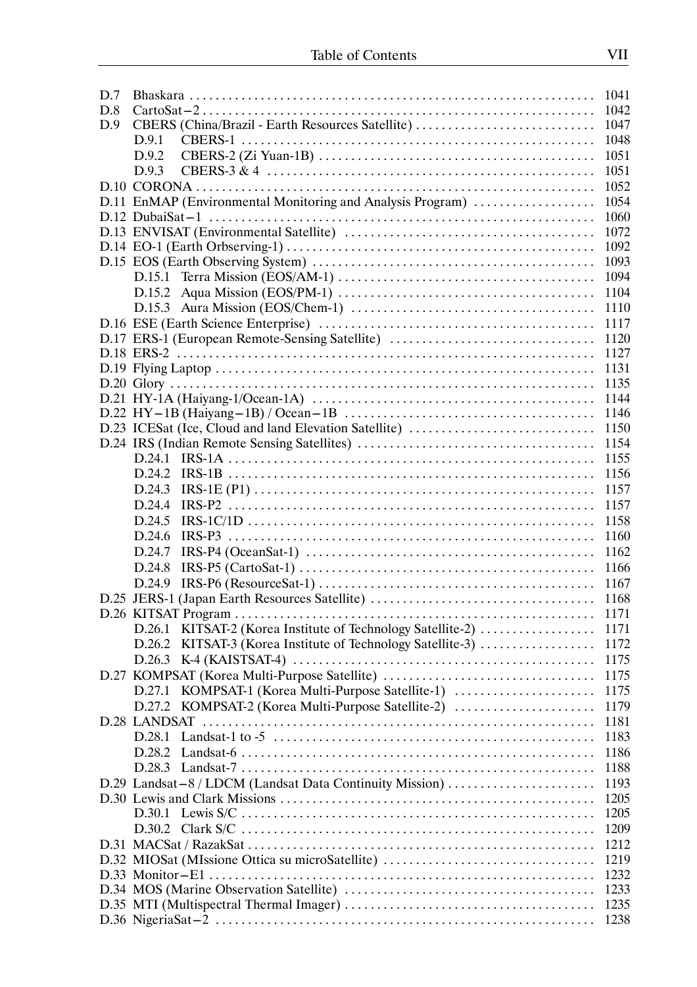| D.7 |                                                                                                                     | 1041 |
|-----|---------------------------------------------------------------------------------------------------------------------|------|
| D.8 |                                                                                                                     | 1042 |
| D.9 | CBERS (China/Brazil - Earth Resources Satellite)                                                                    | 1047 |
|     | D.9.1                                                                                                               | 1048 |
|     | D.9.2                                                                                                               | 1051 |
|     | D.9.3                                                                                                               | 1051 |
|     |                                                                                                                     | 1052 |
|     | D.11 EnMAP (Environmental Monitoring and Analysis Program)                                                          | 1054 |
|     |                                                                                                                     | 1060 |
|     |                                                                                                                     | 1072 |
|     |                                                                                                                     | 1092 |
|     |                                                                                                                     | 1093 |
|     |                                                                                                                     | 1094 |
|     | D.15.2 Aqua Mission (EOS/PM-1) $\dots \dots \dots \dots \dots \dots \dots \dots \dots \dots \dots \dots \dots$      | 1104 |
|     |                                                                                                                     | 1110 |
|     |                                                                                                                     | 1117 |
|     | D.17 ERS-1 (European Remote-Sensing Satellite)                                                                      | 1120 |
|     |                                                                                                                     | 1127 |
|     |                                                                                                                     | 1131 |
|     |                                                                                                                     | 1135 |
|     |                                                                                                                     | 1144 |
|     |                                                                                                                     | 1146 |
|     | D.23 ICESat (Ice, Cloud and land Elevation Satellite)                                                               | 1150 |
|     |                                                                                                                     | 1154 |
|     |                                                                                                                     | 1155 |
|     | D.24.2                                                                                                              | 1156 |
|     | D.24.3                                                                                                              | 1157 |
|     | D.24.4                                                                                                              | 1157 |
|     | D.24.5                                                                                                              | 1158 |
|     | D.24.6                                                                                                              | 1160 |
|     | $IRS-P4 (OceanSat-1) \ldots \ldots \ldots \ldots \ldots \ldots \ldots \ldots \ldots \ldots \ldots \ldots$<br>D.24.7 | 1162 |
|     | $IRS-P5 (CartoSat-1) \ldots \ldots \ldots \ldots \ldots \ldots \ldots \ldots \ldots \ldots \ldots \ldots$<br>D.24.8 | 1166 |
|     | D.24.9                                                                                                              | 1167 |
|     | D.25 JERS-1 (Japan Earth Resources Satellite)                                                                       | 1168 |
|     |                                                                                                                     | 1171 |
|     | KITSAT-2 (Korea Institute of Technology Satellite-2)<br>D.26.1                                                      | 1171 |
|     | KITSAT-3 (Korea Institute of Technology Satellite-3)<br>D.26.2                                                      | 1172 |
|     |                                                                                                                     | 1175 |
|     | D.27 KOMPSAT (Korea Multi-Purpose Satellite)                                                                        | 1175 |
|     | D.27.1 KOMPSAT-1 (Korea Multi-Purpose Satellite-1)                                                                  | 1175 |
|     | D.27.2 KOMPSAT-2 (Korea Multi-Purpose Satellite-2)                                                                  | 1179 |
|     | D.28 LANDSAT                                                                                                        | 1181 |
|     |                                                                                                                     | 1183 |
|     |                                                                                                                     | 1186 |
|     |                                                                                                                     | 1188 |
|     | D.29 Landsat-8 / LDCM (Landsat Data Continuity Mission)                                                             | 1193 |
|     |                                                                                                                     | 1205 |
|     |                                                                                                                     | 1205 |
|     |                                                                                                                     | 1209 |
|     |                                                                                                                     | 1212 |
|     | D.32 MIOSat (MIssione Ottica su microSatellite)                                                                     | 1219 |
|     |                                                                                                                     | 1232 |
|     |                                                                                                                     | 1233 |
|     |                                                                                                                     | 1235 |
|     |                                                                                                                     | 1238 |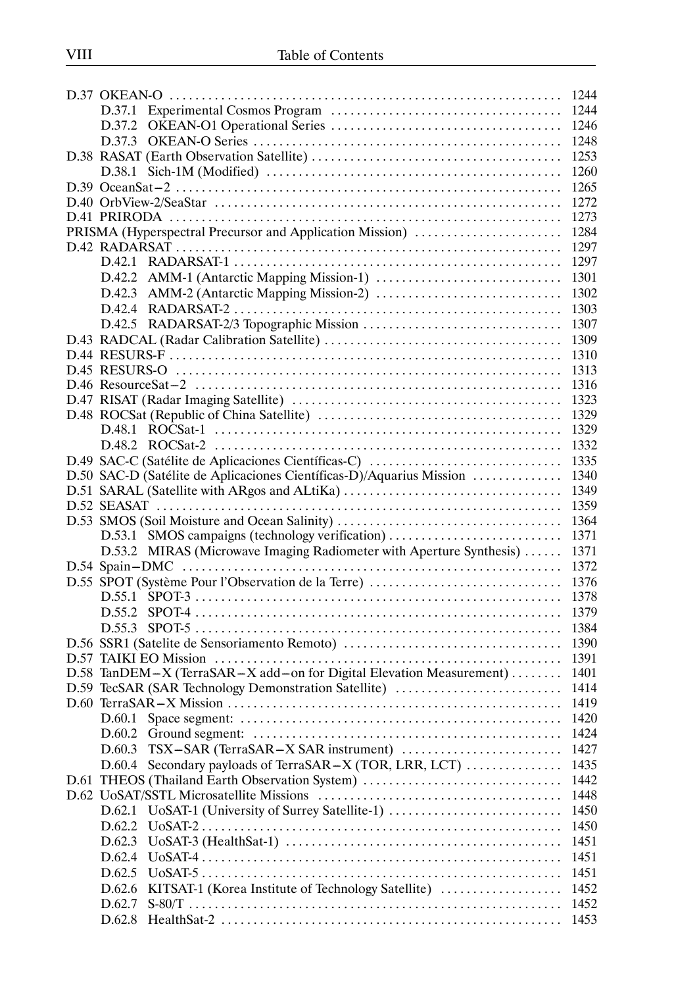|                                                                      | 1244 |
|----------------------------------------------------------------------|------|
|                                                                      | 1244 |
|                                                                      | 1246 |
|                                                                      | 1248 |
|                                                                      | 1253 |
|                                                                      | 1260 |
|                                                                      | 1265 |
|                                                                      | 1272 |
|                                                                      | 1273 |
| PRISMA (Hyperspectral Precursor and Application Mission)             | 1284 |
|                                                                      | 1297 |
|                                                                      | 1297 |
| D.42.2                                                               | 1301 |
|                                                                      | 1302 |
|                                                                      | 1303 |
|                                                                      | 1307 |
|                                                                      | 1309 |
|                                                                      | 1310 |
|                                                                      | 1313 |
|                                                                      | 1316 |
|                                                                      | 1323 |
|                                                                      | 1329 |
|                                                                      | 1329 |
|                                                                      | 1332 |
|                                                                      | 1335 |
| D.49 SAC-C (Satélite de Aplicaciones Científicas-C)                  |      |
| D.50 SAC-D (Satélite de Aplicaciones Científicas-D)/Aquarius Mission | 1340 |
| D.51 SARAL (Satellite with ARgos and ALtiKa)                         | 1349 |
|                                                                      | 1359 |
|                                                                      | 1364 |
| D.53.1 SMOS campaigns (technology verification)                      | 1371 |
| D.53.2 MIRAS (Microwave Imaging Radiometer with Aperture Synthesis)  | 1371 |
|                                                                      | 1372 |
| D.55 SPOT (Système Pour l'Observation de la Terre)                   | 1376 |
|                                                                      | 1378 |
|                                                                      | 1379 |
|                                                                      | 1384 |
|                                                                      | 1390 |
|                                                                      | 1391 |
| D.58 TanDEM-X (TerraSAR-X add-on for Digital Elevation Measurement)  | 1401 |
| D.59 TecSAR (SAR Technology Demonstration Satellite)                 | 1414 |
|                                                                      | 1419 |
| D.60.1                                                               | 1420 |
| D.60.2                                                               | 1424 |
| D.60.3                                                               | 1427 |
| D.60.4 Secondary payloads of TerraSAR-X (TOR, LRR, LCT)              | 1435 |
| D.61 THEOS (Thailand Earth Observation System)                       | 1442 |
|                                                                      | 1448 |
| UoSAT-1 (University of Surrey Satellite-1)<br>D.62.1                 | 1450 |
| D.62.2                                                               | 1450 |
| D.62.3                                                               | 1451 |
| D.62.4                                                               | 1451 |
| D.62.5                                                               | 1451 |
| KITSAT-1 (Korea Institute of Technology Satellite)<br>D.62.6         | 1452 |
| D.62.7                                                               | 1452 |
|                                                                      | 1453 |
|                                                                      |      |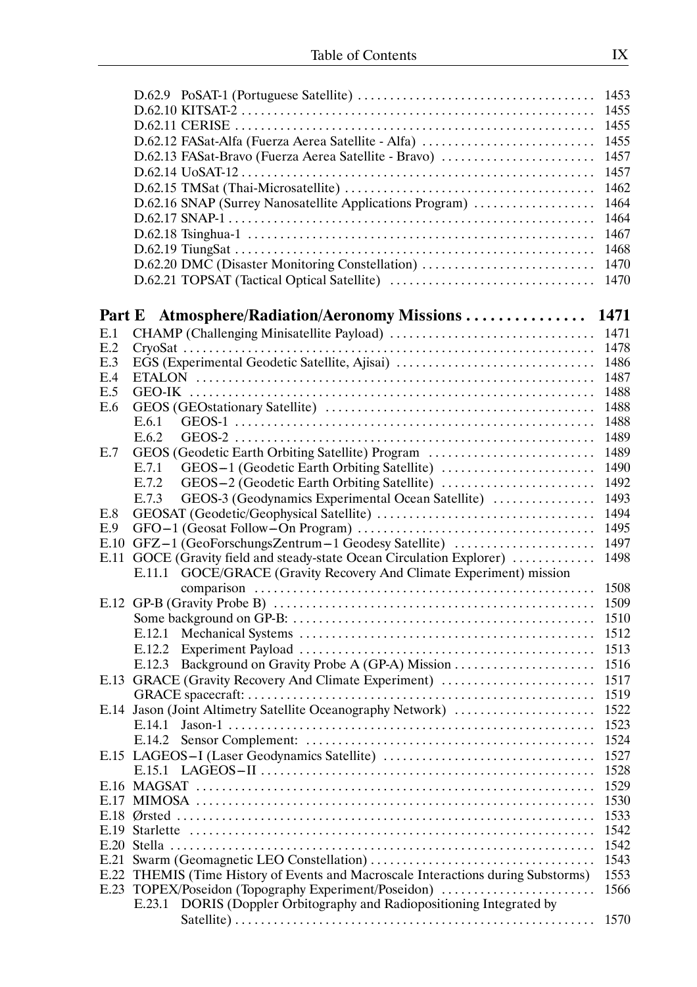|      |                                                                              | 1455 |
|------|------------------------------------------------------------------------------|------|
|      |                                                                              |      |
|      |                                                                              | 1455 |
|      | D.62.12 FASat-Alfa (Fuerza Aerea Satellite - Alfa)                           | 1455 |
|      |                                                                              |      |
|      | D.62.13 FASat-Bravo (Fuerza Aerea Satellite - Bravo)                         | 1457 |
|      |                                                                              | 1457 |
|      |                                                                              | 1462 |
|      |                                                                              |      |
|      | D.62.16 SNAP (Surrey Nanosatellite Applications Program)                     | 1464 |
|      |                                                                              | 1464 |
|      |                                                                              |      |
|      |                                                                              | 1467 |
|      |                                                                              | 1468 |
|      | D.62.20 DMC (Disaster Monitoring Constellation)                              | 1470 |
|      |                                                                              |      |
|      |                                                                              | 1470 |
|      |                                                                              |      |
|      |                                                                              |      |
|      | Part E Atmosphere/Radiation/Aeronomy Missions                                | 1471 |
|      |                                                                              |      |
| E.1  |                                                                              | 1471 |
| E.2  |                                                                              | 1478 |
| E.3  | EGS (Experimental Geodetic Satellite, Ajisai)                                | 1486 |
|      |                                                                              |      |
| E.4  |                                                                              | 1487 |
| E.5  |                                                                              | 1488 |
| E.6  |                                                                              | 1488 |
|      |                                                                              |      |
|      | E.6.1                                                                        | 1488 |
|      | E.6.2                                                                        | 1489 |
|      |                                                                              |      |
| E.7  | GEOS (Geodetic Earth Orbiting Satellite) Program                             | 1489 |
|      | E.7.1                                                                        | 1490 |
|      | E.7.2                                                                        | 1492 |
|      |                                                                              |      |
|      | GEOS-3 (Geodynamics Experimental Ocean Satellite)<br>E.7.3                   | 1493 |
| E.8  |                                                                              | 1494 |
| E.9  |                                                                              | 1495 |
|      |                                                                              |      |
|      | E.10 GFZ-1 (GeoForschungsZentrum-1 Geodesy Satellite)                        | 1497 |
| E.11 | GOCE (Gravity field and steady-state Ocean Circulation Explorer)             | 1498 |
|      |                                                                              |      |
|      | E.11.1 GOCE/GRACE (Gravity Recovery And Climate Experiment) mission          |      |
|      |                                                                              | 1508 |
|      |                                                                              | 1509 |
|      |                                                                              |      |
|      |                                                                              | 1510 |
|      | E.12.1                                                                       | 1512 |
|      |                                                                              |      |
|      | E.12.2                                                                       | 1513 |
|      | Background on Gravity Probe A (GP-A) Mission<br>E.12.3                       | 1516 |
|      | E.13 GRACE (Gravity Recovery And Climate Experiment)                         | 1517 |
|      |                                                                              |      |
|      |                                                                              | 1519 |
|      | E.14 Jason (Joint Altimetry Satellite Oceanography Network)                  | 1522 |
|      | E.14.1                                                                       | 1523 |
|      |                                                                              |      |
|      | E.14.2                                                                       | 1524 |
|      |                                                                              | 1527 |
|      |                                                                              |      |
|      |                                                                              | 1528 |
|      |                                                                              | 1529 |
|      |                                                                              | 1530 |
|      |                                                                              |      |
|      |                                                                              | 1533 |
| E.19 |                                                                              | 1542 |
| E.20 |                                                                              | 1542 |
|      |                                                                              |      |
| E.21 |                                                                              | 1543 |
| E.22 | THEMIS (Time History of Events and Macroscale Interactions during Substorms) | 1553 |
| E.23 | TOPEX/Poseidon (Topography Experiment/Poseidon)                              | 1566 |
|      |                                                                              |      |
|      | DORIS (Doppler Orbitography and Radiopositioning Integrated by<br>E.23.1     |      |
|      |                                                                              | 1570 |
|      |                                                                              |      |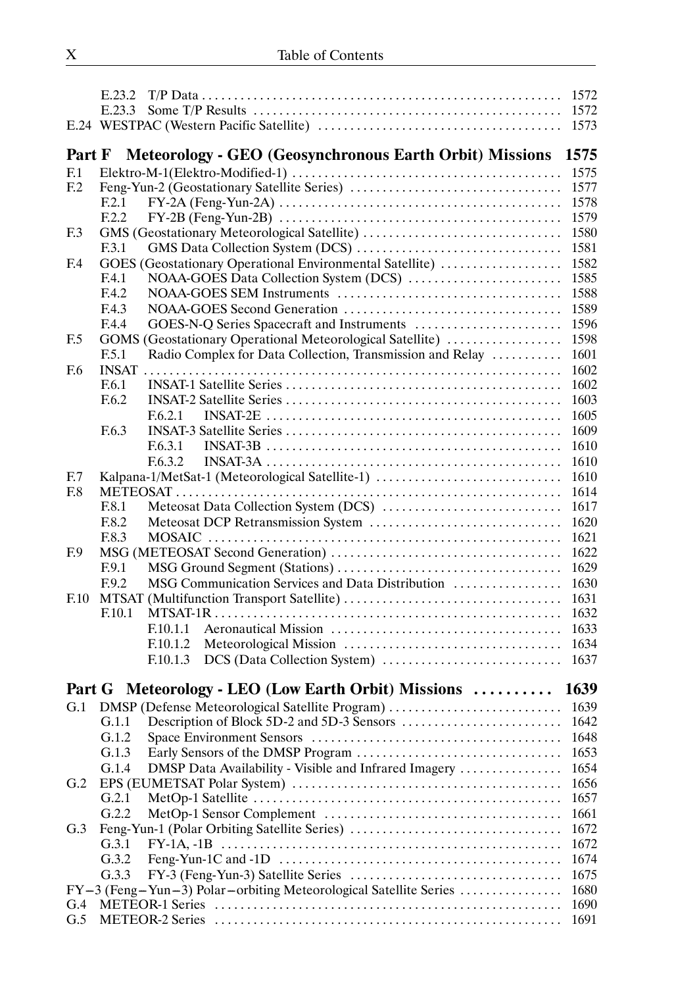|                 |        |                                                                  | 1572 |
|-----------------|--------|------------------------------------------------------------------|------|
|                 | E.23.3 |                                                                  | 1572 |
|                 |        |                                                                  | 1573 |
|                 |        |                                                                  |      |
| Part F          |        | <b>Meteorology - GEO (Geosynchronous Earth Orbit) Missions</b>   | 1575 |
| F <sub>1</sub>  |        |                                                                  | 1575 |
| F <sub>12</sub> |        |                                                                  | 1577 |
|                 | F.2.1  |                                                                  | 1578 |
|                 | F.2.2  |                                                                  | 1579 |
| F <sub>13</sub> |        | GMS (Geostationary Meteorological Satellite)                     | 1580 |
|                 | F.3.1  |                                                                  | 1581 |
| F <sub>4</sub>  |        | GOES (Geostationary Operational Environmental Satellite)         | 1582 |
|                 | F.4.1  |                                                                  | 1585 |
|                 | F.4.2  |                                                                  | 1588 |
|                 | F.4.3  |                                                                  | 1589 |
|                 | F.4.4  |                                                                  | 1596 |
| F <sub>5</sub>  |        | GOMS (Geostationary Operational Meteorological Satellite)        | 1598 |
|                 | F.5.1  | Radio Complex for Data Collection, Transmission and Relay        | 1601 |
| F.6             |        |                                                                  | 1602 |
|                 | F.6.1  |                                                                  | 1602 |
|                 | F.6.2  |                                                                  | 1603 |
|                 |        | F.6.2.1                                                          | 1605 |
|                 | F.6.3  |                                                                  | 1609 |
|                 |        |                                                                  |      |
|                 |        | F.6.3.1                                                          | 1610 |
|                 |        | F.6.3.2                                                          | 1610 |
| F.7             |        | Kalpana-1/MetSat-1 (Meteorological Satellite-1)                  | 1610 |
| F.8             |        |                                                                  | 1614 |
|                 | F.8.1  |                                                                  | 1617 |
|                 | F.8.2  |                                                                  | 1620 |
|                 | F.8.3  |                                                                  | 1621 |
| F <sub>0</sub>  |        |                                                                  | 1622 |
|                 | F.9.1  |                                                                  | 1629 |
|                 | F.9.2  | MSG Communication Services and Data Distribution                 | 1630 |
| F.10            |        |                                                                  | 1631 |
|                 |        | $F.10.1$ MTSAT-1R.                                               | 1632 |
|                 |        | F.10.1.1                                                         | 1633 |
|                 |        | F.10.1.2                                                         | 1634 |
|                 |        | F.10.1.3                                                         | 1637 |
|                 |        |                                                                  |      |
|                 |        | Part G Meteorology - LEO (Low Earth Orbit) Missions              | 1639 |
| G.1             |        | DMSP (Defense Meteorological Satellite Program)                  | 1639 |
|                 | G.1.1  |                                                                  | 1642 |
|                 | G.1.2  |                                                                  | 1648 |
|                 | G.1.3  |                                                                  | 1653 |
|                 | G.1.4  | DMSP Data Availability - Visible and Infrared Imagery            | 1654 |
| G.2             |        |                                                                  | 1656 |
|                 | G.2.1  |                                                                  | 1657 |
|                 | G.2.2  |                                                                  | 1661 |
| G.3             |        |                                                                  | 1672 |
|                 | G.3.1  |                                                                  | 1672 |
|                 | G.3.2  |                                                                  | 1674 |
|                 | G.3.3  |                                                                  | 1675 |
|                 |        | FY-3 (Feng-Yun-3) Polar-orbiting Meteorological Satellite Series | 1680 |
| G.4             |        |                                                                  | 1690 |
| G.5             |        |                                                                  | 1691 |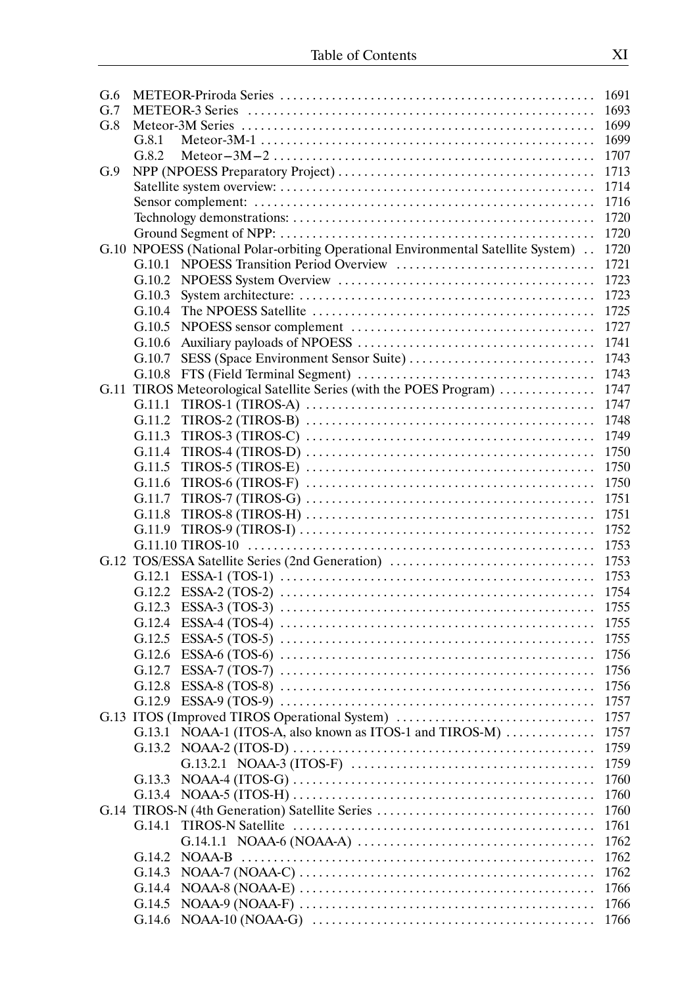| G.6 |                                                                                  | 1691         |
|-----|----------------------------------------------------------------------------------|--------------|
| G.7 |                                                                                  | 1693         |
| G.8 |                                                                                  | 1699         |
|     | G.8.1                                                                            | 1699         |
|     | G.8.2                                                                            | 1707         |
| G.9 |                                                                                  | 1713         |
|     |                                                                                  | 1714         |
|     |                                                                                  | 1716         |
|     |                                                                                  | 1720         |
|     |                                                                                  | 1720         |
|     | G.10 NPOESS (National Polar-orbiting Operational Environmental Satellite System) | 1720         |
|     |                                                                                  | 1721         |
|     | G.10.2                                                                           | 1723         |
|     | G.10.3                                                                           | 1723         |
|     | G.10.4                                                                           | 1725         |
|     |                                                                                  | 1727         |
|     | G.10.5                                                                           |              |
|     | G.10.6                                                                           | 1741         |
|     | G.10.7                                                                           | 1743         |
|     | G.10.8                                                                           | 1743         |
|     | G.11 TIROS Meteorological Satellite Series (with the POES Program)               | 1747         |
|     | G.11.1                                                                           | 1747         |
|     | G.11.2                                                                           | 1748         |
|     | G.11.3                                                                           | 1749         |
|     | $TIROS-4 (TIROS-D) \ldots$<br>G.11.4                                             | 1750         |
|     | G.11.5                                                                           | 1750         |
|     | G.11.6                                                                           | 1750         |
|     | $TIROS-7 (TIROS-G) \ldots$<br>G.11.7                                             | 1751         |
|     | G.11.8                                                                           | 1751         |
|     | G.11.9                                                                           | 1752         |
|     |                                                                                  | 1753         |
|     | G.12 TOS/ESSA Satellite Series (2nd Generation)                                  | 1753         |
|     |                                                                                  | 1753         |
|     |                                                                                  | 1754         |
|     |                                                                                  |              |
|     |                                                                                  | 1755         |
|     |                                                                                  | 1755         |
|     |                                                                                  | 1756         |
|     | G.12.7                                                                           | 1756         |
|     | G.12.8                                                                           | 1756         |
|     | $ESSA-9 (TOS-9) \ldots$<br>G.12.9                                                | 1757         |
|     | G.13 ITOS (Improved TIROS Operational System)                                    | 1757         |
|     | G.13.1 NOAA-1 (ITOS-A, also known as ITOS-1 and TIROS-M)                         | 1757         |
|     | $NOAA-2 (ITOS-D) \ldots$<br>G.13.2                                               | 1759         |
|     |                                                                                  | 1759         |
|     | G.13.3                                                                           | 1760         |
|     |                                                                                  | 1760         |
|     |                                                                                  |              |
|     | G.14 TIROS-N (4th Generation) Satellite Series<br>G.14.1                         | 1760<br>1761 |
|     |                                                                                  |              |
|     |                                                                                  | 1762         |
|     | G.14.2                                                                           | 1762         |
|     | G.14.3                                                                           | 1762         |
|     | G.14.4                                                                           | 1766         |
|     | G.14.5                                                                           | 1766         |
|     | G.14.6                                                                           | 1766         |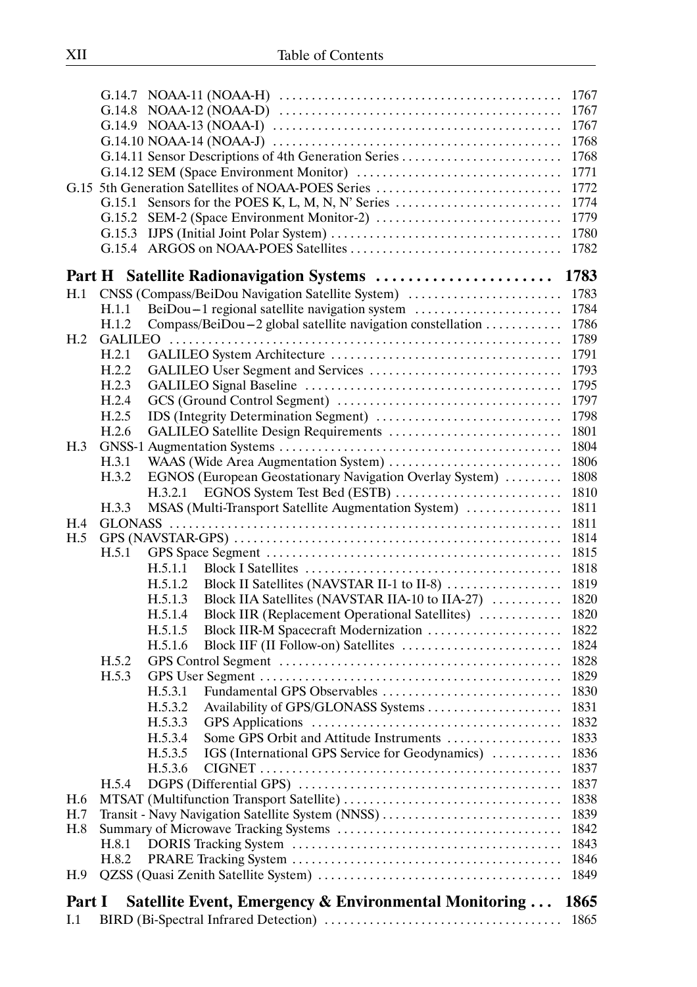|                 |        |                                                                                                                               | 1767 |
|-----------------|--------|-------------------------------------------------------------------------------------------------------------------------------|------|
|                 |        |                                                                                                                               | 1767 |
|                 |        |                                                                                                                               | 1767 |
|                 |        | $G.14.10 \text{ NOAA-14 (NOAA-J) } \dots \dots \dots \dots \dots \dots \dots \dots \dots \dots \dots \dots \dots \dots \dots$ | 1768 |
|                 |        | G.14.11 Sensor Descriptions of 4th Generation Series                                                                          | 1768 |
|                 |        |                                                                                                                               | 1771 |
|                 |        | G.15 5th Generation Satellites of NOAA-POES Series                                                                            | 1772 |
|                 | G.15.1 |                                                                                                                               | 1774 |
|                 | G.15.2 |                                                                                                                               | 1779 |
|                 |        |                                                                                                                               | 1780 |
|                 |        |                                                                                                                               | 1782 |
|                 |        |                                                                                                                               |      |
|                 |        | Part H Satellite Radionavigation Systems  1783                                                                                |      |
| H.1             |        | CNSS (Compass/BeiDou Navigation Satellite System)                                                                             | 1783 |
|                 | H.1.1  | BeiDou-1 regional satellite navigation system                                                                                 | 1784 |
|                 | H.1.2  | Compass/BeiDou-2 global satellite navigation constellation                                                                    | 1786 |
| H <sub>.2</sub> |        |                                                                                                                               | 1789 |
|                 | H.2.1  |                                                                                                                               | 1791 |
|                 | H.2.2  |                                                                                                                               | 1793 |
|                 | H.2.3  |                                                                                                                               | 1795 |
|                 | H.2.4  |                                                                                                                               | 1797 |
|                 | H.2.5  |                                                                                                                               | 1798 |
|                 | H.2.6  | GALILEO Satellite Design Requirements                                                                                         | 1801 |
| H.3             |        |                                                                                                                               | 1804 |
|                 | H.3.1  | WAAS (Wide Area Augmentation System)                                                                                          | 1806 |
|                 | H.3.2  | EGNOS (European Geostationary Navigation Overlay System)                                                                      | 1808 |
|                 |        |                                                                                                                               | 1810 |
|                 | H.3.3  | MSAS (Multi-Transport Satellite Augmentation System)                                                                          | 1811 |
| H.4             |        |                                                                                                                               | 1811 |
| H.5             |        |                                                                                                                               | 1814 |
|                 | H.5.1  |                                                                                                                               | 1815 |
|                 |        | H.5.1.1                                                                                                                       | 1818 |
|                 |        | Block II Satellites (NAVSTAR II-1 to II-8)<br>H.5.1.2                                                                         | 1819 |
|                 |        | Block IIA Satellites (NAVSTAR IIA-10 to IIA-27)<br>H.5.1.3                                                                    | 1820 |
|                 |        | Block IIR (Replacement Operational Satellites)<br>H.5.1.4                                                                     | 1820 |
|                 |        | Block IIR-M Spacecraft Modernization<br>H.5.1.5                                                                               | 1822 |
|                 |        | H.5.1.6                                                                                                                       | 1824 |
|                 | H.5.2  |                                                                                                                               | 1828 |
|                 | H.5.3  |                                                                                                                               | 1829 |
|                 |        | Fundamental GPS Observables<br>H.5.3.1                                                                                        | 1830 |
|                 |        | Availability of GPS/GLONASS Systems<br>H.5.3.2                                                                                | 1831 |
|                 |        | H.5.3.3                                                                                                                       | 1832 |
|                 |        | Some GPS Orbit and Attitude Instruments<br>H.5.3.4                                                                            | 1833 |
|                 |        | IGS (International GPS Service for Geodynamics)<br>H.5.3.5                                                                    | 1836 |
|                 |        | H.5.3.6                                                                                                                       | 1837 |
|                 | H.5.4  |                                                                                                                               | 1837 |
| H.6             |        |                                                                                                                               | 1838 |
| H.7             |        | Transit - Navy Navigation Satellite System (NNSS)                                                                             | 1839 |
| H.8             |        |                                                                                                                               | 1842 |
|                 | H.8.1  |                                                                                                                               | 1843 |
|                 | H.8.2  |                                                                                                                               | 1846 |
| H.9             |        |                                                                                                                               | 1849 |
| Part I          |        | Satellite Event, Emergency & Environmental Monitoring                                                                         | 1865 |
| I.1             |        |                                                                                                                               | 1865 |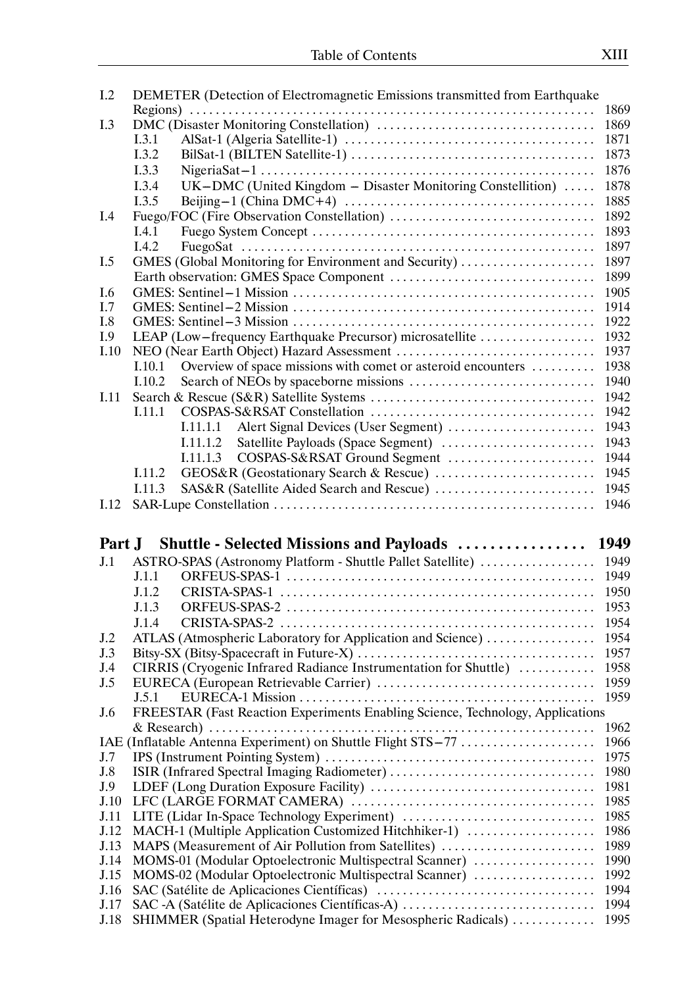| I.2          | DEMETER (Detection of Electromagnetic Emissions transmitted from Earthquake                                     |              |
|--------------|-----------------------------------------------------------------------------------------------------------------|--------------|
|              |                                                                                                                 | 1869         |
| I.3          |                                                                                                                 | 1869         |
|              | I.3.1                                                                                                           | 1871         |
|              | I.3.2                                                                                                           | 1873         |
|              | I.3.3                                                                                                           | 1876         |
|              | UK-DMC (United Kingdom - Disaster Monitoring Constellition)<br>I.3.4                                            | 1878         |
|              | I.3.5                                                                                                           | 1885         |
|              |                                                                                                                 | 1892         |
| I.4          |                                                                                                                 |              |
|              | I.4.1                                                                                                           | 1893         |
|              | I.4.2                                                                                                           | 1897         |
| I.5          | GMES (Global Monitoring for Environment and Security)                                                           | 1897         |
|              |                                                                                                                 | 1899         |
| I.6          |                                                                                                                 | 1905         |
| I.7          |                                                                                                                 | 1914         |
| I.8          |                                                                                                                 | 1922         |
| I.9          | LEAP (Low-frequency Earthquake Precursor) microsatellite                                                        | 1932         |
| I.10         |                                                                                                                 | 1937         |
|              | Overview of space missions with comet or asteroid encounters<br>I.10.1                                          | 1938         |
|              | I.10.2                                                                                                          | 1940         |
| I.11         |                                                                                                                 | 1942         |
|              | I.11.1                                                                                                          | 1942         |
|              | Alert Signal Devices (User Segment)<br>I.11.1.1                                                                 | 1943         |
|              | I.11.1.2                                                                                                        | 1943         |
|              | COSPAS-S&RSAT Ground Segment<br>I.11.1.3                                                                        | 1944         |
|              |                                                                                                                 |              |
|              | I.11.2                                                                                                          | 1945         |
|              | I.11.3                                                                                                          | 1945         |
| I.12         |                                                                                                                 | 1946         |
|              |                                                                                                                 |              |
|              |                                                                                                                 |              |
|              |                                                                                                                 |              |
| Part J       | <b>Shuttle - Selected Missions and Payloads  1949</b>                                                           |              |
| J.1          | ASTRO-SPAS (Astronomy Platform - Shuttle Pallet Satellite)                                                      | 1949         |
|              | J.1.1                                                                                                           | 1949         |
|              | J.1.2                                                                                                           | 1950         |
|              | J.1.3                                                                                                           | 1953         |
|              | J.1.4                                                                                                           | 1954         |
| J.2          | ATLAS (Atmospheric Laboratory for Application and Science)                                                      | 1954         |
| J.3          |                                                                                                                 | 1957         |
| J.4          | CIRRIS (Cryogenic Infrared Radiance Instrumentation for Shuttle)                                                | 1958         |
| J.5          |                                                                                                                 | 1959         |
|              | J.5.1                                                                                                           | 1959         |
| J.6          | FREESTAR (Fast Reaction Experiments Enabling Science, Technology, Applications                                  |              |
|              |                                                                                                                 | 1962         |
|              | IAE (Inflatable Antenna Experiment) on Shuttle Flight STS-77                                                    | 1966         |
| J.7          |                                                                                                                 | 1975         |
| J.8          |                                                                                                                 | 1980         |
| J.9          |                                                                                                                 | 1981         |
| J.10         |                                                                                                                 | 1985         |
| J.11         |                                                                                                                 | 1985         |
|              |                                                                                                                 |              |
| J.12         | MACH-1 (Multiple Application Customized Hitchhiker-1)                                                           | 1986         |
| J.13         | MAPS (Measurement of Air Pollution from Satellites)                                                             | 1989         |
| J.14         | MOMS-01 (Modular Optoelectronic Multispectral Scanner)                                                          | 1990         |
| J.15         | MOMS-02 (Modular Optoelectronic Multispectral Scanner)                                                          | 1992         |
| J.16         |                                                                                                                 | 1994         |
| J.17<br>J.18 | SAC -A (Satélite de Aplicaciones Científicas-A)<br>SHIMMER (Spatial Heterodyne Imager for Mesospheric Radicals) | 1994<br>1995 |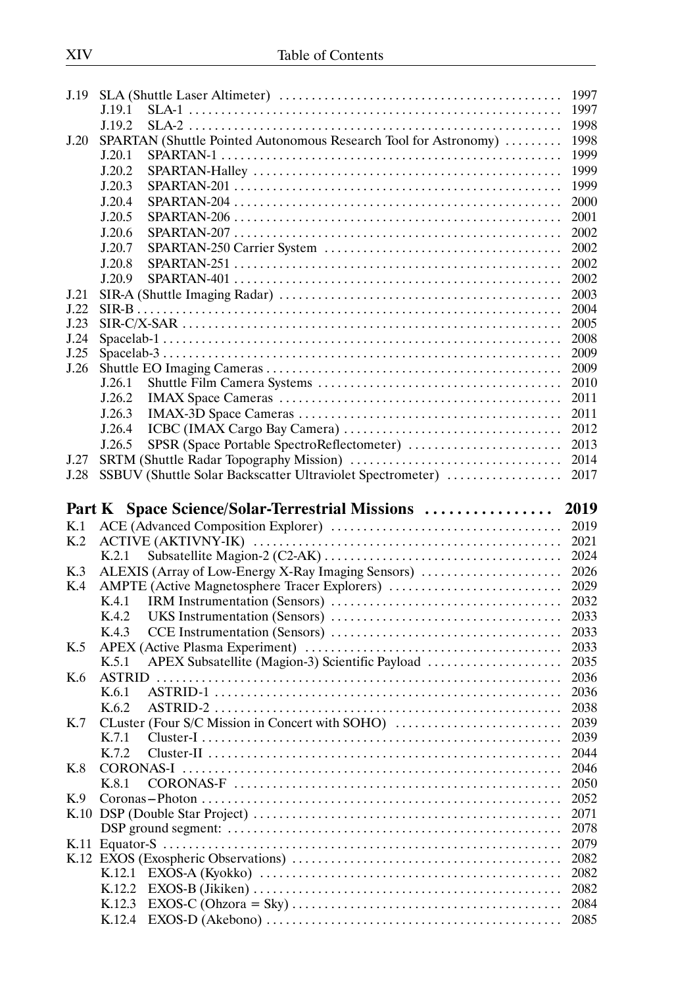| J.19 |                                                                                                                        | 1997<br>1997 |
|------|------------------------------------------------------------------------------------------------------------------------|--------------|
|      | J.19.1                                                                                                                 |              |
|      | J.19.2                                                                                                                 | 1998         |
| J.20 | SPARTAN (Shuttle Pointed Autonomous Research Tool for Astronomy)                                                       | 1998         |
|      | J.20.1                                                                                                                 | 1999         |
|      | J.20.2                                                                                                                 | 1999         |
|      | J.20.3                                                                                                                 | 1999         |
|      | J.20.4                                                                                                                 | 2000         |
|      | J.20.5                                                                                                                 | 2001         |
|      | J.20.6                                                                                                                 | 2002         |
|      | J.20.7                                                                                                                 | 2002         |
|      | J.20.8                                                                                                                 | 2002         |
|      | J.20.9                                                                                                                 | 2002         |
| J.21 |                                                                                                                        | 2003         |
| J.22 |                                                                                                                        | 2004         |
| J.23 |                                                                                                                        | 2005         |
| J.24 |                                                                                                                        | 2008         |
| J.25 |                                                                                                                        | 2009         |
| J.26 |                                                                                                                        | 2009         |
|      | J.26.1                                                                                                                 | 2010         |
|      | J.26.2                                                                                                                 | 2011         |
|      | J.26.3                                                                                                                 | 2011         |
|      | J.26.4                                                                                                                 | 2012         |
|      | SPSR (Space Portable SpectroReflectometer)<br>J.26.5                                                                   | 2013         |
| J.27 |                                                                                                                        | 2014         |
| J.28 | SSBUV (Shuttle Solar Backscatter Ultraviolet Spectrometer)                                                             | 2017         |
|      |                                                                                                                        |              |
|      |                                                                                                                        |              |
|      | Part K Space Science/Solar-Terrestrial Missions  2019                                                                  |              |
| K.1  |                                                                                                                        | 2019         |
| K.2  |                                                                                                                        | 2021         |
|      | K.2.1                                                                                                                  | 2024         |
| K.3  | ALEXIS (Array of Low-Energy X-Ray Imaging Sensors)                                                                     | 2026         |
| K.4  | AMPTE (Active Magnetosphere Tracer Explorers)                                                                          | 2029         |
|      | K.4.1                                                                                                                  | 2032         |
|      | K.4.2                                                                                                                  | 2033         |
|      | K.4.3                                                                                                                  | 2033         |
| K.5  |                                                                                                                        | 2033         |
|      | APEX Subsatellite (Magion-3) Scientific Payload<br>K.5.1                                                               | 2035         |
| K.6  | <b>ASTRID</b>                                                                                                          | 2036         |
|      | K.6.1                                                                                                                  | 2036         |
|      | K.6.2                                                                                                                  | 2038         |
| K.7  | CLuster (Four S/C Mission in Concert with SOHO)                                                                        | 2039         |
|      | K.7.1                                                                                                                  | 2039         |
|      | K.7.2                                                                                                                  | 2044         |
| K.8  |                                                                                                                        | 2046         |
|      | K.8.1                                                                                                                  | 2050         |
| K.9  |                                                                                                                        | 2052         |
|      |                                                                                                                        | 2071         |
|      |                                                                                                                        | 2078         |
|      |                                                                                                                        | 2079         |
|      |                                                                                                                        | 2082         |
|      | $EXOS-A (Kyokko) \ldots \ldots \ldots \ldots \ldots \ldots \ldots \ldots \ldots \ldots \ldots \ldots \ldots$<br>K.12.1 | 2082         |
|      | K.12.2                                                                                                                 | 2082         |
|      | K.12.3                                                                                                                 | 2084         |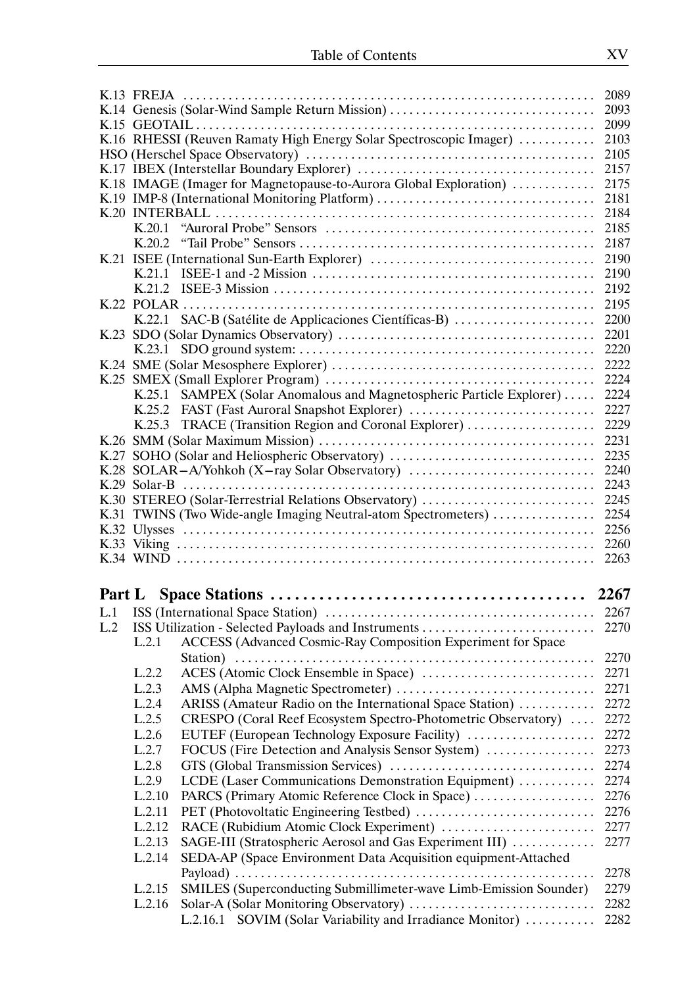|     |                                                                             | 2089         |  |  |  |  |
|-----|-----------------------------------------------------------------------------|--------------|--|--|--|--|
|     | K.14 Genesis (Solar-Wind Sample Return Mission)<br>2093                     |              |  |  |  |  |
|     | 2099                                                                        |              |  |  |  |  |
|     | K.16 RHESSI (Reuven Ramaty High Energy Solar Spectroscopic Imager)          | 2103<br>2105 |  |  |  |  |
|     |                                                                             |              |  |  |  |  |
|     | 2157                                                                        |              |  |  |  |  |
|     | K.18 IMAGE (Imager for Magnetopause-to-Aurora Global Exploration)           | 2175         |  |  |  |  |
|     | K.19 IMP-8 (International Monitoring Platform)                              | 2181         |  |  |  |  |
|     |                                                                             | 2184         |  |  |  |  |
|     | K.20.1                                                                      | 2185         |  |  |  |  |
|     |                                                                             | 2187         |  |  |  |  |
|     |                                                                             | 2190         |  |  |  |  |
|     |                                                                             | 2190         |  |  |  |  |
|     |                                                                             | 2192         |  |  |  |  |
|     |                                                                             | 2195         |  |  |  |  |
|     | K.22.1 SAC-B (Satélite de Applicaciones Científicas-B)                      | 2200         |  |  |  |  |
|     |                                                                             | 2201         |  |  |  |  |
|     |                                                                             | 2220         |  |  |  |  |
|     |                                                                             | 2222         |  |  |  |  |
|     |                                                                             | 2224         |  |  |  |  |
|     | K.25.1 SAMPEX (Solar Anomalous and Magnetospheric Particle Explorer)        | 2224         |  |  |  |  |
|     | K.25.2 FAST (Fast Auroral Snapshot Explorer)                                | 2227         |  |  |  |  |
|     | TRACE (Transition Region and Coronal Explorer)<br>K.25.3                    | 2229         |  |  |  |  |
|     |                                                                             | 2231         |  |  |  |  |
|     | K.27 SOHO (Solar and Heliospheric Observatory)                              | 2235         |  |  |  |  |
|     | K.28 SOLAR-A/Yohkoh (X-ray Solar Observatory)                               | 2240         |  |  |  |  |
|     |                                                                             | 2243         |  |  |  |  |
|     | K.30 STEREO (Solar-Terrestrial Relations Observatory)                       | 2245         |  |  |  |  |
|     |                                                                             |              |  |  |  |  |
|     | K.31 TWINS (Two Wide-angle Imaging Neutral-atom Spectrometers)              | 2254         |  |  |  |  |
|     |                                                                             | 2256         |  |  |  |  |
|     |                                                                             | 2260         |  |  |  |  |
|     |                                                                             | 2263         |  |  |  |  |
|     |                                                                             |              |  |  |  |  |
|     |                                                                             |              |  |  |  |  |
|     |                                                                             | 2267         |  |  |  |  |
| L.2 |                                                                             | 2270         |  |  |  |  |
|     | ACCESS (Advanced Cosmic-Ray Composition Experiment for Space<br>L.2.1       |              |  |  |  |  |
|     |                                                                             | 2270         |  |  |  |  |
|     | L.2.2                                                                       | 2271         |  |  |  |  |
|     | L.2.3                                                                       | 2271         |  |  |  |  |
|     | L.2.4<br>ARISS (Amateur Radio on the International Space Station)           | 2272         |  |  |  |  |
|     | CRESPO (Coral Reef Ecosystem Spectro-Photometric Observatory)<br>L.2.5      | 2272         |  |  |  |  |
|     | EUTEF (European Technology Exposure Facility)<br>L.2.6                      | 2272         |  |  |  |  |
|     | FOCUS (Fire Detection and Analysis Sensor System)<br>L.2.7                  | 2273         |  |  |  |  |
|     | L.2.8                                                                       | 2274         |  |  |  |  |
|     | LCDE (Laser Communications Demonstration Equipment)<br>L.2.9                | 2274         |  |  |  |  |
|     | L.2.10<br>PARCS (Primary Atomic Reference Clock in Space)                   | 2276         |  |  |  |  |
|     | L.2.11                                                                      | 2276         |  |  |  |  |
|     | L.2.12<br>RACE (Rubidium Atomic Clock Experiment)                           | 2277         |  |  |  |  |
|     | SAGE-III (Stratospheric Aerosol and Gas Experiment III)<br>L.2.13           | 2277         |  |  |  |  |
|     | SEDA-AP (Space Environment Data Acquisition equipment-Attached<br>L.2.14    |              |  |  |  |  |
|     |                                                                             | 2278         |  |  |  |  |
|     | SMILES (Superconducting Submillimeter-wave Limb-Emission Sounder)<br>L.2.15 | 2279         |  |  |  |  |
|     | L.2.16<br>L.2.16.1 SOVIM (Solar Variability and Irradiance Monitor)         | 2282<br>2282 |  |  |  |  |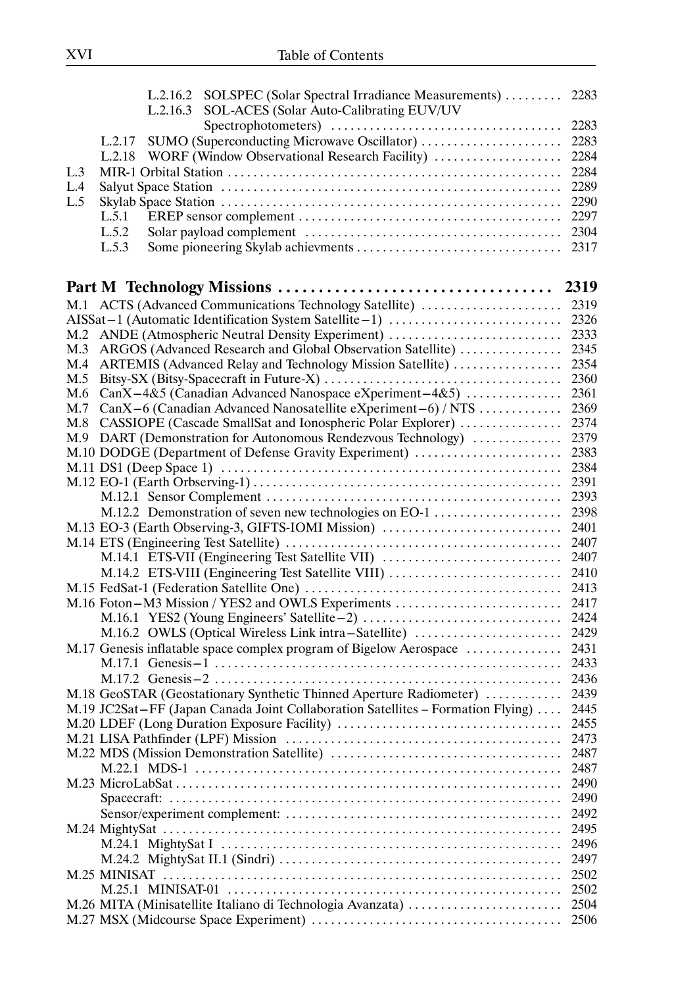|     | L.2.16.2 SOLSPEC (Solar Spectral Irradiance Measurements)  2283                 |              |
|-----|---------------------------------------------------------------------------------|--------------|
|     | SOL-ACES (Solar Auto-Calibrating EUV/UV<br>L.2.16.3                             |              |
|     |                                                                                 |              |
|     | SUMO (Superconducting Microwave Oscillator)<br>L.2.17                           | 2283         |
|     | L.2.18 WORF (Window Observational Research Facility)                            | 2284         |
| L.3 |                                                                                 | 2284         |
| L.4 |                                                                                 | 2289         |
| L.5 |                                                                                 | 2290         |
|     | L.5.1                                                                           | 2297         |
|     | L.5.2                                                                           | 2304         |
|     | L.5.3                                                                           | 2317         |
|     |                                                                                 |              |
|     |                                                                                 |              |
|     |                                                                                 |              |
|     | AISSat-1 (Automatic Identification System Satellite-1)                          | 2326         |
|     | M.2 ANDE (Atmospheric Neutral Density Experiment)                               | 2333         |
| M.3 | ARGOS (Advanced Research and Global Observation Satellite)                      | 2345         |
| M.4 | ARTEMIS (Advanced Relay and Technology Mission Satellite)                       | 2354         |
| M.5 |                                                                                 | 2360         |
| M.6 | CanX-4&5 (Canadian Advanced Nanospace eXperiment-4&5)                           | 2361         |
| M.7 | CanX-6 (Canadian Advanced Nanosatellite eXperiment-6) / NTS                     | 2369         |
| M.8 | CASSIOPE (Cascade SmallSat and Ionospheric Polar Explorer)                      | 2374         |
|     | M.9 DART (Demonstration for Autonomous Rendezvous Technology)                   | 2379<br>2383 |
|     | M.10 DODGE (Department of Defense Gravity Experiment)                           | 2384         |
|     |                                                                                 | 2391         |
|     |                                                                                 | 2393         |
|     | M.12.2 Demonstration of seven new technologies on EO-1                          | 2398         |
|     |                                                                                 | 2401         |
|     | M.13 EO-3 (Earth Observing-3, GIFTS-IOMI Mission)                               | 2407         |
|     |                                                                                 |              |
|     |                                                                                 |              |
|     |                                                                                 |              |
|     |                                                                                 |              |
|     |                                                                                 | 2424         |
|     | M.16.2 OWLS (Optical Wireless Link intra-Satellite)                             | 2429         |
|     | M.17 Genesis inflatable space complex program of Bigelow Aerospace              | 2431         |
|     |                                                                                 | 2433         |
|     |                                                                                 | 2436         |
|     | M.18 GeoSTAR (Geostationary Synthetic Thinned Aperture Radiometer)              | 2439         |
|     | M.19 JC2Sat-FF (Japan Canada Joint Collaboration Satellites – Formation Flying) | 2445         |
|     |                                                                                 | 2455         |
|     |                                                                                 | 2473         |
|     |                                                                                 | 2487         |
|     |                                                                                 | 2487         |
|     |                                                                                 | 2490         |
|     |                                                                                 | 2490         |
|     |                                                                                 | 2492         |
|     |                                                                                 | 2495         |
|     |                                                                                 | 2496         |
|     |                                                                                 | 2497         |
|     |                                                                                 | 2502         |
|     |                                                                                 | 2502         |
|     |                                                                                 | 2504         |
|     |                                                                                 | 2506         |
|     |                                                                                 |              |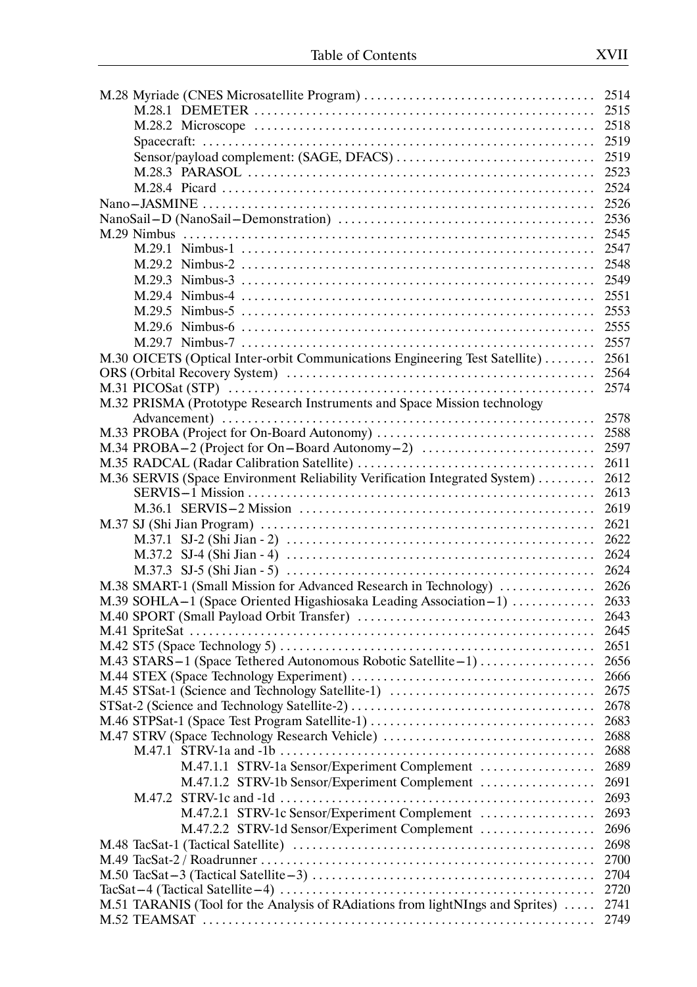|                                                                                | 2518 |
|--------------------------------------------------------------------------------|------|
|                                                                                | 2519 |
| Sensor/payload complement: (SAGE, DFACS)                                       | 2519 |
|                                                                                | 2523 |
|                                                                                | 2524 |
|                                                                                | 2526 |
|                                                                                |      |
|                                                                                |      |
|                                                                                |      |
|                                                                                |      |
|                                                                                | 2549 |
|                                                                                | 2551 |
|                                                                                | 2553 |
|                                                                                |      |
|                                                                                | 2555 |
|                                                                                | 2557 |
| M.30 OICETS (Optical Inter-orbit Communications Engineering Test Satellite)    | 2561 |
|                                                                                | 2564 |
|                                                                                | 2574 |
| M.32 PRISMA (Prototype Research Instruments and Space Mission technology       |      |
|                                                                                | 2578 |
|                                                                                |      |
| M.34 PROBA-2 (Project for On-Board Autonomy-2)                                 | 2597 |
|                                                                                | 2611 |
| M.36 SERVIS (Space Environment Reliability Verification Integrated System)     | 2612 |
|                                                                                | 2613 |
|                                                                                | 2619 |
|                                                                                | 2621 |
|                                                                                | 2622 |
|                                                                                | 2624 |
|                                                                                |      |
| M.38 SMART-1 (Small Mission for Advanced Research in Technology)               | 2626 |
| M.39 SOHLA-1 (Space Oriented Higashiosaka Leading Association-1)               | 2633 |
|                                                                                | 2643 |
|                                                                                | 2645 |
|                                                                                | 2651 |
| M.43 STARS-1 (Space Tethered Autonomous Robotic Satellite-1)                   | 2656 |
|                                                                                | 2666 |
| M.45 STSat-1 (Science and Technology Satellite-1)                              | 2675 |
|                                                                                | 2678 |
| M.46 STPSat-1 (Space Test Program Satellite-1)                                 | 2683 |
| M.47 STRV (Space Technology Research Vehicle)                                  | 2688 |
|                                                                                | 2688 |
| M.47.1.1 STRV-1a Sensor/Experiment Complement                                  | 2689 |
| M.47.1.2 STRV-1b Sensor/Experiment Complement                                  | 2691 |
|                                                                                | 2693 |
| M.47.2.1 STRV-1c Sensor/Experiment Complement                                  | 2693 |
|                                                                                |      |
| M.47.2.2 STRV-1d Sensor/Experiment Complement                                  | 2696 |
|                                                                                | 2698 |
|                                                                                | 2700 |
|                                                                                | 2704 |
|                                                                                | 2720 |
| M.51 TARANIS (Tool for the Analysis of RAdiations from lightNIngs and Sprites) | 2741 |
|                                                                                | 2749 |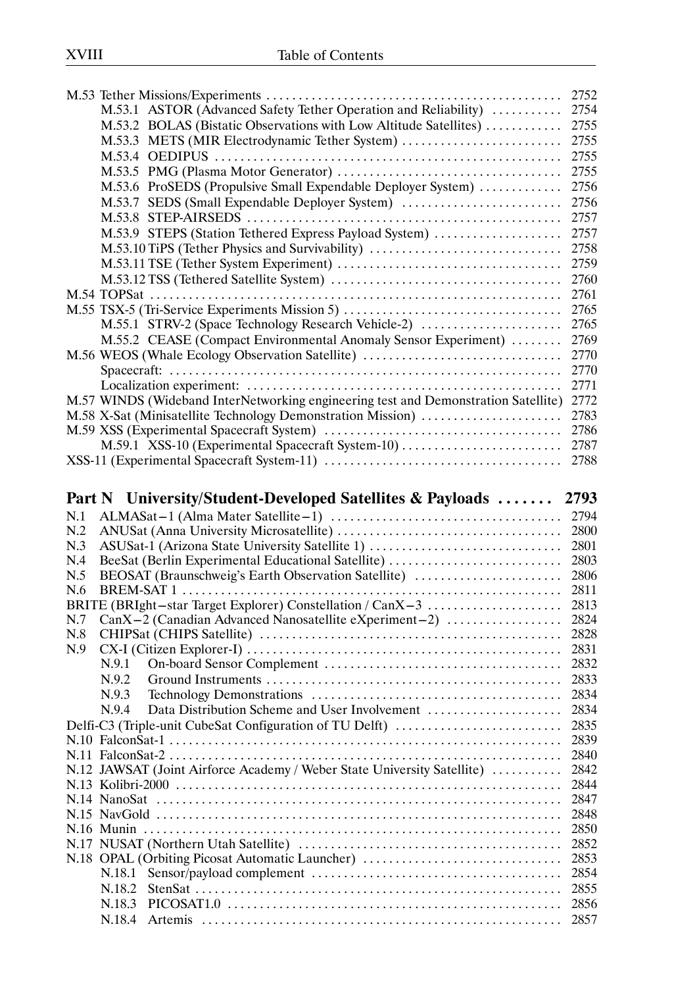|     |                                                                                         | 2752         |
|-----|-----------------------------------------------------------------------------------------|--------------|
|     | M.53.1 ASTOR (Advanced Safety Tether Operation and Reliability)                         | 2754         |
|     | M.53.2 BOLAS (Bistatic Observations with Low Altitude Satellites)                       | 2755         |
|     | M.53.3 METS (MIR Electrodynamic Tether System)                                          | 2755         |
|     |                                                                                         | 2755         |
|     |                                                                                         | 2755         |
|     | M.53.6 ProSEDS (Propulsive Small Expendable Deployer System)                            | 2756         |
|     | M.53.7 SEDS (Small Expendable Deployer System)                                          | 2756         |
|     |                                                                                         | 2757         |
|     | M.53.9 STEPS (Station Tethered Express Payload System)                                  | 2757         |
|     | M.53.10 TiPS (Tether Physics and Survivability)                                         | 2758         |
|     |                                                                                         | 2759         |
|     |                                                                                         | 2760         |
|     |                                                                                         | 2761         |
|     | M.55 TSX-5 (Tri-Service Experiments Mission 5)                                          | 2765         |
|     | M.55.1 STRV-2 (Space Technology Research Vehicle-2)                                     | 2765         |
|     | M.55.2 CEASE (Compact Environmental Anomaly Sensor Experiment)                          | 2769         |
|     | M.56 WEOS (Whale Ecology Observation Satellite)                                         | 2770         |
|     |                                                                                         | 2770         |
|     |                                                                                         | 2771         |
|     |                                                                                         |              |
|     | M.57 WINDS (Wideband InterNetworking engineering test and Demonstration Satellite) 2772 |              |
|     | M.58 X-Sat (Minisatellite Technology Demonstration Mission)                             | 2783         |
|     |                                                                                         | 2786         |
|     | M.59.1 XSS-10 (Experimental Spacecraft System-10)                                       | 2787         |
|     |                                                                                         | 2788         |
|     |                                                                                         |              |
|     | Part N University/Student-Developed Satellites & Payloads                               | 2793         |
|     |                                                                                         |              |
| N.1 |                                                                                         |              |
| N.2 |                                                                                         |              |
| N.3 | ASUSat-1 (Arizona State University Satellite 1)                                         | 2801         |
| N.4 | BeeSat (Berlin Experimental Educational Satellite)                                      | 2803         |
| N.5 | BEOSAT (Braunschweig's Earth Observation Satellite)                                     | 2806         |
| N.6 |                                                                                         | 2811         |
|     | BRITE (BRIght-star Target Explorer) Constellation / CanX-3                              | 2813         |
| N.7 | CanX-2 (Canadian Advanced Nanosatellite eXperiment-2)                                   | 2824         |
| N.8 |                                                                                         | 2828         |
| N.9 |                                                                                         | 2831         |
|     | N.9.1                                                                                   | 2832         |
|     | N.9.2                                                                                   | 2833         |
|     | N.9.3                                                                                   | 2834         |
|     | N.9.4                                                                                   | 2834         |
|     |                                                                                         | 2835         |
|     | Delfi-C3 (Triple-unit CubeSat Configuration of TU Delft)                                |              |
|     |                                                                                         | 2839         |
|     |                                                                                         | 2840         |
|     | N.12 JAWSAT (Joint Airforce Academy / Weber State University Satellite)                 | 2842         |
|     |                                                                                         | 2844<br>2847 |
|     |                                                                                         | 2848         |
|     |                                                                                         | 2850         |
|     |                                                                                         | 2852         |
|     |                                                                                         | 2853         |
|     | N.18 OPAL (Orbiting Picosat Automatic Launcher)<br>N.18.1                               | 2854         |
|     |                                                                                         |              |
|     | N.18.2                                                                                  | 2855         |
|     | N.18.3<br>N.18.4                                                                        | 2856<br>2857 |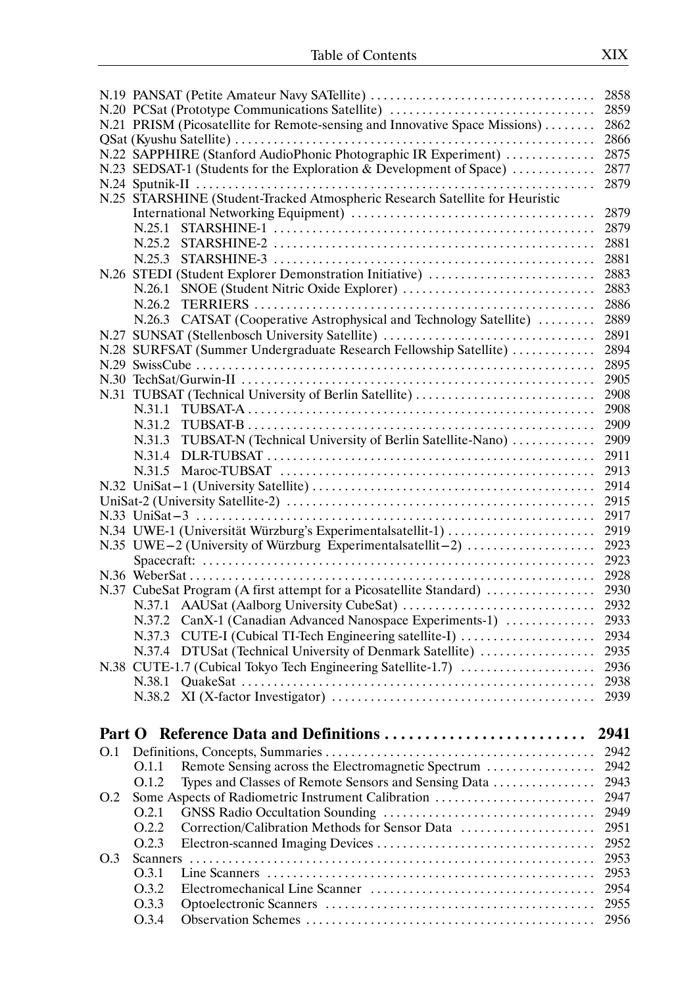|        |        |                                                                              | 2858 |
|--------|--------|------------------------------------------------------------------------------|------|
|        |        | N.20 PCSat (Prototype Communications Satellite)                              | 2859 |
|        |        | N.21 PRISM (Picosatellite for Remote-sensing and Innovative Space Missions)  | 2862 |
|        |        |                                                                              | 2866 |
|        |        | N.22 SAPPHIRE (Stanford AudioPhonic Photographic IR Experiment)              | 2875 |
|        |        | N.23 SEDSAT-1 (Students for the Exploration & Development of Space)          | 2877 |
|        |        |                                                                              | 2879 |
|        |        | N.25 STARSHINE (Student-Tracked Atmospheric Research Satellite for Heuristic |      |
|        |        |                                                                              | 2879 |
|        | N.25.1 |                                                                              | 2879 |
|        | N.25.2 |                                                                              | 2881 |
|        |        |                                                                              |      |
|        | N.25.3 |                                                                              | 2881 |
|        |        | N.26 STEDI (Student Explorer Demonstration Initiative)                       | 2883 |
|        | N.26.1 |                                                                              | 2883 |
|        | N.26.2 |                                                                              | 2886 |
|        |        | N.26.3 CATSAT (Cooperative Astrophysical and Technology Satellite)           | 2889 |
|        |        | N.27 SUNSAT (Stellenbosch University Satellite)                              | 2891 |
|        |        | N.28 SURFSAT (Summer Undergraduate Research Fellowship Satellite)            | 2894 |
|        |        |                                                                              | 2895 |
|        |        |                                                                              | 2905 |
|        |        | N.31 TUBSAT (Technical University of Berlin Satellite)                       | 2908 |
|        | N.31.1 |                                                                              | 2908 |
|        |        |                                                                              | 2909 |
|        | N.31.3 | TUBSAT-N (Technical University of Berlin Satellite-Nano)                     | 2909 |
|        | N.31.4 |                                                                              | 2911 |
|        | N.31.5 |                                                                              | 2913 |
|        |        |                                                                              | 2914 |
|        |        |                                                                              | 2915 |
|        |        |                                                                              |      |
|        |        |                                                                              | 2917 |
|        |        | N.34 UWE-1 (Universität Würzburg's Experimentalsatellit-1)                   | 2919 |
|        |        | N.35 UWE-2 (University of Würzburg Experimentalsatellit-2)                   | 2923 |
|        |        |                                                                              | 2923 |
|        |        |                                                                              | 2928 |
|        |        | N.37 CubeSat Program (A first attempt for a Picosatellite Standard)          | 2930 |
|        |        |                                                                              | 2932 |
|        | N.37.2 | CanX-1 (Canadian Advanced Nanospace Experiments-1)                           | 2933 |
|        | N.37.3 | CUTE-I (Cubical TI-Tech Engineering satellite-I)                             | 2934 |
|        | N.37.4 | DTUSat (Technical University of Denmark Satellite)                           | 2935 |
|        |        | N.38 CUTE-1.7 (Cubical Tokyo Tech Engineering Satellite-1.7)                 | 2936 |
|        | N.38.1 |                                                                              | 2938 |
|        | N.38.2 |                                                                              | 2939 |
|        |        |                                                                              |      |
|        |        |                                                                              |      |
| Part O |        | Reference Data and Definitions                                               | 2941 |
| O.1    |        |                                                                              | 2942 |
|        | O.1.1  | Remote Sensing across the Electromagnetic Spectrum                           | 2942 |
|        | O.1.2  | Types and Classes of Remote Sensors and Sensing Data                         | 2943 |
| O.2    |        | Some Aspects of Radiometric Instrument Calibration                           | 2947 |
|        | O.2.1  |                                                                              | 2949 |
|        | O.2.2  | Correction/Calibration Methods for Sensor Data                               | 2951 |
|        | O.2.3  |                                                                              | 2952 |
| O.3    |        |                                                                              | 2953 |
|        | O.3.1  |                                                                              | 2953 |
|        | O.3.2  |                                                                              | 2954 |
|        |        |                                                                              |      |
|        | O.3.3  |                                                                              | 2955 |
|        | O.3.4  |                                                                              | 2956 |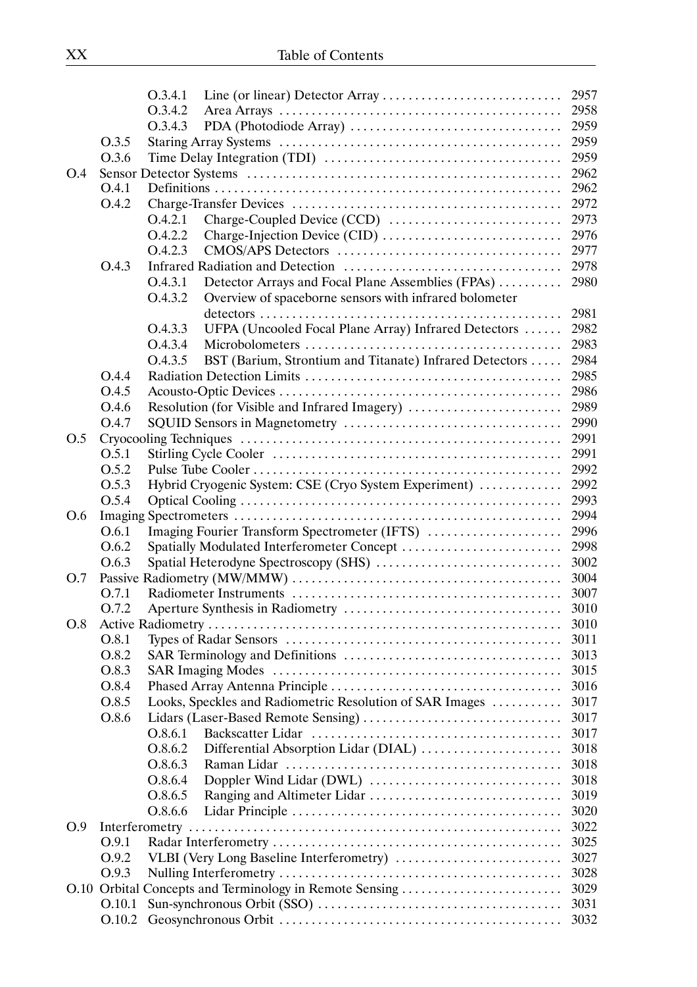|     |        | O.3.4.1 |                                                          |      |
|-----|--------|---------|----------------------------------------------------------|------|
|     |        | O.3.4.2 |                                                          |      |
|     |        | O.3.4.3 |                                                          |      |
|     | 0.3.5  |         |                                                          | 2959 |
|     | O.3.6  |         |                                                          |      |
| O.4 |        |         |                                                          | 2962 |
|     | O.4.1  |         |                                                          | 2962 |
|     | O.4.2  |         |                                                          |      |
|     |        | O.4.2.1 |                                                          | 2973 |
|     |        | O.4.2.2 |                                                          | 2976 |
|     |        | O.4.2.3 |                                                          | 2977 |
|     | O.4.3  |         |                                                          | 2978 |
|     |        | O.4.3.1 | Detector Arrays and Focal Plane Assemblies (FPAs)        | 2980 |
|     |        | O.4.3.2 | Overview of spaceborne sensors with infrared bolometer   |      |
|     |        |         |                                                          | 2981 |
|     |        | O.4.3.3 | UFPA (Uncooled Focal Plane Array) Infrared Detectors     | 2982 |
|     |        | O.4.3.4 |                                                          | 2983 |
|     |        | O.4.3.5 | BST (Barium, Strontium and Titanate) Infrared Detectors  | 2984 |
|     | O.4.4  |         |                                                          | 2985 |
|     | O.4.5  |         |                                                          | 2986 |
|     | O.4.6  |         | Resolution (for Visible and Infrared Imagery)            | 2989 |
|     | O.4.7  |         |                                                          | 2990 |
| O.5 |        |         |                                                          | 2991 |
|     | O.5.1  |         |                                                          | 2991 |
|     | O.5.2  |         |                                                          | 2992 |
|     | O.5.3  |         | Hybrid Cryogenic System: CSE (Cryo System Experiment)    | 2992 |
|     | O.5.4  |         |                                                          | 2993 |
| O.6 |        |         |                                                          | 2994 |
|     | O.6.1  |         | Imaging Fourier Transform Spectrometer (IFTS)            | 2996 |
|     | O.6.2  |         | Spatially Modulated Interferometer Concept               | 2998 |
|     | O.6.3  |         | Spatial Heterodyne Spectroscopy (SHS)                    | 3002 |
| O.7 |        |         |                                                          | 3004 |
|     | O.7.1  |         |                                                          | 3007 |
|     | 0.7.2  |         |                                                          | 3010 |
| O.8 |        |         |                                                          | 3010 |
|     | O.8.1  |         |                                                          | 3011 |
|     | O.8.2  |         |                                                          | 3013 |
|     | O.8.3  |         |                                                          | 3015 |
|     | O.8.4  |         |                                                          | 3016 |
|     | O.8.5  |         | Looks, Speckles and Radiometric Resolution of SAR Images | 3017 |
|     | O.8.6  |         |                                                          | 3017 |
|     |        | O.8.6.1 |                                                          | 3017 |
|     |        | O.8.6.2 | Differential Absorption Lidar (DIAL)                     | 3018 |
|     |        | O.8.6.3 |                                                          | 3018 |
|     |        | O.8.6.4 |                                                          | 3018 |
|     |        | O.8.6.5 |                                                          | 3019 |
|     |        | O.8.6.6 |                                                          | 3020 |
| O.9 |        |         |                                                          | 3022 |
|     | O.9.1  |         |                                                          | 3025 |
|     | O.9.2  |         |                                                          | 3027 |
|     | O.9.3  |         |                                                          | 3028 |
|     |        |         | O.10 Orbital Concepts and Terminology in Remote Sensing  | 3029 |
|     | O.10.1 |         |                                                          | 3031 |
|     | O.10.2 |         |                                                          | 3032 |
|     |        |         |                                                          |      |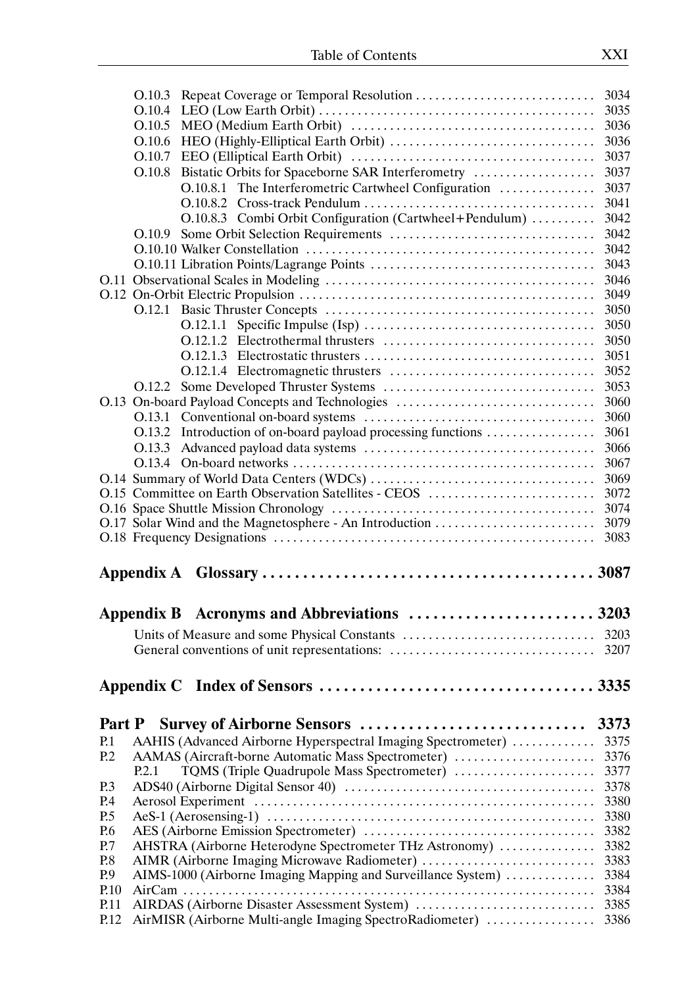|                 | O.10.3                                                                                                   | 3034         |
|-----------------|----------------------------------------------------------------------------------------------------------|--------------|
|                 | O.10.4                                                                                                   | 3035         |
|                 | O.10.5                                                                                                   | 3036         |
|                 |                                                                                                          | 3036         |
|                 | O.10.7                                                                                                   | 3037         |
|                 | Bistatic Orbits for Spaceborne SAR Interferometry<br>O.10.8                                              | 3037         |
|                 | O.10.8.1 The Interferometric Cartwheel Configuration                                                     | 3037         |
|                 |                                                                                                          | 3041         |
|                 | O.10.8.3 Combi Orbit Configuration (Cartwheel+Pendulum)                                                  | 3042         |
|                 | O.10.9                                                                                                   | 3042         |
|                 |                                                                                                          | 3042         |
|                 |                                                                                                          | 3043         |
|                 |                                                                                                          | 3046         |
|                 |                                                                                                          | 3049         |
|                 |                                                                                                          | 3050         |
|                 |                                                                                                          | 3050         |
|                 |                                                                                                          | 3050         |
|                 |                                                                                                          | 3051         |
|                 |                                                                                                          | 3052         |
|                 |                                                                                                          | 3053         |
|                 | O.13 On-board Payload Concepts and Technologies                                                          | 3060         |
|                 |                                                                                                          | 3060         |
|                 | Introduction of on-board payload processing functions<br>O.13.2                                          | 3061         |
|                 | O.13.3                                                                                                   | 3066         |
|                 |                                                                                                          | 3067         |
|                 |                                                                                                          | 3069         |
|                 | O.15 Committee on Earth Observation Satellites - CEOS                                                    | 3072         |
|                 |                                                                                                          |              |
|                 |                                                                                                          |              |
|                 |                                                                                                          | 3074         |
|                 | O.17 Solar Wind and the Magnetosphere - An Introduction                                                  | 3079         |
|                 |                                                                                                          | 3083         |
|                 |                                                                                                          |              |
|                 |                                                                                                          |              |
|                 | Appendix B Acronyms and Abbreviations  3203                                                              |              |
|                 |                                                                                                          |              |
|                 |                                                                                                          |              |
|                 |                                                                                                          |              |
|                 |                                                                                                          |              |
|                 |                                                                                                          |              |
|                 |                                                                                                          |              |
| Part P          | Survey of Airborne Sensors                                                                               | 3373         |
| P.1             | AAHIS (Advanced Airborne Hyperspectral Imaging Spectrometer)                                             | 3375         |
| P <sub>12</sub> | AAMAS (Aircraft-borne Automatic Mass Spectrometer)                                                       | 3376         |
|                 | TQMS (Triple Quadrupole Mass Spectrometer)<br>P.2.1                                                      | 3377         |
| P.3             |                                                                                                          | 3378         |
| P.4             |                                                                                                          | 3380         |
| P.5             |                                                                                                          | 3380         |
| P.6             |                                                                                                          | 3382         |
| P.7             | AHSTRA (Airborne Heterodyne Spectrometer THz Astronomy)                                                  | 3382         |
| P.8             | AIMR (Airborne Imaging Microwave Radiometer)                                                             | 3383         |
| P.9             | AIMS-1000 (Airborne Imaging Mapping and Surveillance System)                                             | 3384         |
| P.10            |                                                                                                          | 3384         |
| P.11<br>P.12    | AIRDAS (Airborne Disaster Assessment System)<br>AirMISR (Airborne Multi-angle Imaging SpectroRadiometer) | 3385<br>3386 |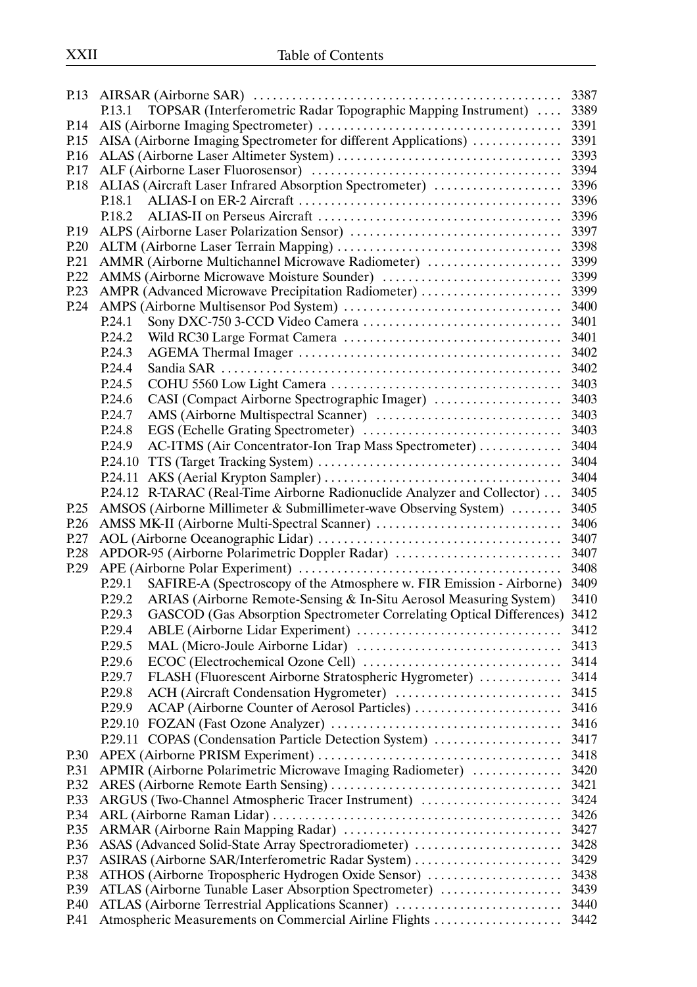|              |                                                                                  | 3387 |
|--------------|----------------------------------------------------------------------------------|------|
|              | TOPSAR (Interferometric Radar Topographic Mapping Instrument)  3389<br>P.13.1    |      |
| P.14         |                                                                                  | 3391 |
| P.15         | AISA (Airborne Imaging Spectrometer for different Applications)                  | 3391 |
| P.16         |                                                                                  | 3393 |
| P.17         |                                                                                  |      |
| P.18         | ALIAS (Aircraft Laser Infrared Absorption Spectrometer)                          | 3396 |
|              |                                                                                  |      |
|              | P.18.2                                                                           |      |
| P.19         |                                                                                  |      |
| P.20         |                                                                                  |      |
| P.21         |                                                                                  |      |
| P.22         |                                                                                  | 3399 |
| P.23         | AMPR (Advanced Microwave Precipitation Radiometer)                               | 3399 |
| P.24         |                                                                                  |      |
|              | P.24.1                                                                           | 3401 |
|              | P.24.2                                                                           | 3401 |
|              | P.24.3                                                                           |      |
|              | P.24.4                                                                           |      |
|              | P.24.5                                                                           |      |
|              | CASI (Compact Airborne Spectrographic Imager)<br>P.24.6                          | 3403 |
|              | P.24.7                                                                           | 3403 |
|              | P.24.8                                                                           |      |
|              | P.24.9<br>AC-ITMS (Air Concentrator-Ion Trap Mass Spectrometer)  3404            |      |
|              | P.24.10                                                                          | 3404 |
|              |                                                                                  | 3404 |
|              |                                                                                  |      |
|              | P.24.12 R-TARAC (Real-Time Airborne Radionuclide Analyzer and Collector)  3405   |      |
| P.25         | AMSOS (Airborne Millimeter & Submillimeter-wave Observing System)                | 3405 |
| P.26         | AMSS MK-II (Airborne Multi-Spectral Scanner)                                     | 3406 |
| P.27<br>P.28 |                                                                                  |      |
| P.29         |                                                                                  | 3408 |
|              | SAFIRE-A (Spectroscopy of the Atmosphere w. FIR Emission - Airborne)<br>P.29.1   | 3409 |
|              | ARIAS (Airborne Remote-Sensing & In-Situ Aerosol Measuring System)               | 3410 |
|              | P.29.2                                                                           |      |
|              | P.29.3 GASCOD (Gas Absorption Spectrometer Correlating Optical Differences) 3412 |      |
|              | P.29.4                                                                           |      |
|              | P.29.5                                                                           | 3413 |
|              | P.29.6                                                                           | 3414 |
|              | FLASH (Fluorescent Airborne Stratospheric Hygrometer)<br>P.29.7                  | 3414 |
|              | P.29.8<br>ACH (Aircraft Condensation Hygrometer)                                 | 3415 |
|              | ACAP (Airborne Counter of Aerosol Particles)<br>P.29.9                           | 3416 |
|              |                                                                                  | 3416 |
|              | P.29.11 COPAS (Condensation Particle Detection System)                           | 3417 |
| P.30         |                                                                                  | 3418 |
| P.31         | APMIR (Airborne Polarimetric Microwave Imaging Radiometer)                       | 3420 |
| P.32         |                                                                                  | 3421 |
| P.33         | ARGUS (Two-Channel Atmospheric Tracer Instrument)                                | 3424 |
| P.34         |                                                                                  | 3426 |
| P.35         |                                                                                  | 3427 |
| P.36         | ASAS (Advanced Solid-State Array Spectroradiometer)                              | 3428 |
| P.37         | ASIRAS (Airborne SAR/Interferometric Radar System)                               | 3429 |
| P.38         | ATHOS (Airborne Tropospheric Hydrogen Oxide Sensor)                              | 3438 |
| P.39         | ATLAS (Airborne Tunable Laser Absorption Spectrometer)                           | 3439 |
| P.40         | ATLAS (Airborne Terrestrial Applications Scanner)                                | 3440 |
| P.41         | Atmospheric Measurements on Commercial Airline Flights                           | 3442 |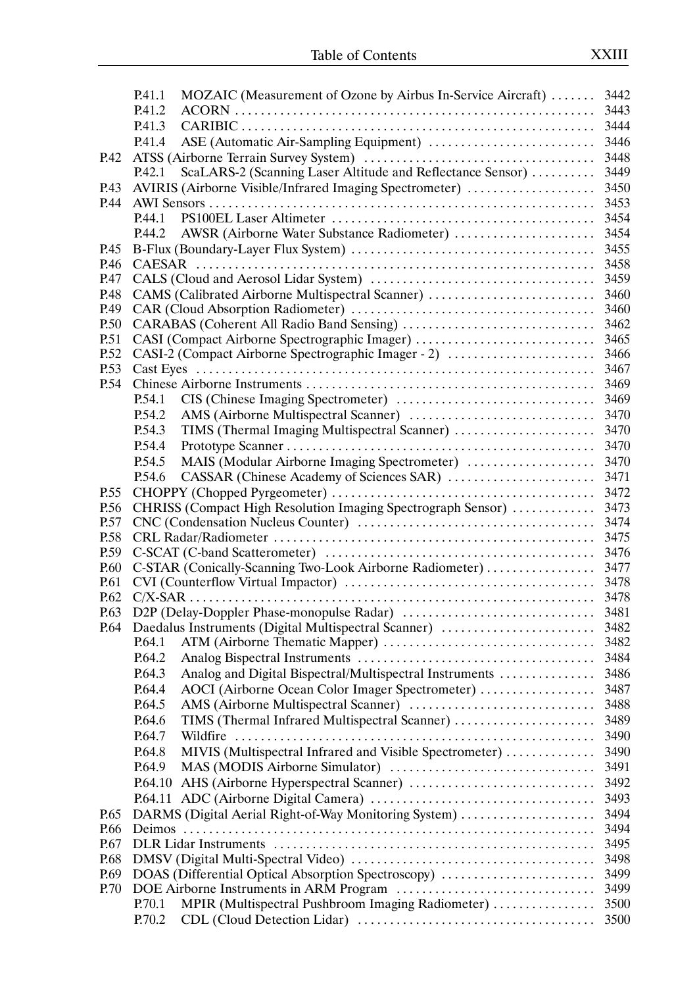|      | P.41.1           | MOZAIC (Measurement of Ozone by Airbus In-Service Aircraft)  3442 |              |
|------|------------------|-------------------------------------------------------------------|--------------|
|      | P.41.2           |                                                                   | 3443         |
|      | P.41.3           |                                                                   |              |
|      | P.41.4           |                                                                   | 3446         |
| P.42 |                  |                                                                   | 3448         |
|      | P.42.1           | ScaLARS-2 (Scanning Laser Altitude and Reflectance Sensor)        | 3449         |
| P.43 |                  | AVIRIS (Airborne Visible/Infrared Imaging Spectrometer)           | 3450         |
| P.44 |                  |                                                                   | 3453         |
|      | P.44.1           |                                                                   | 3454         |
|      |                  |                                                                   |              |
| P.45 |                  |                                                                   | 3455         |
| P.46 |                  |                                                                   | 3458         |
| P.47 |                  |                                                                   | 3459         |
| P.48 |                  | CAMS (Calibrated Airborne Multispectral Scanner)                  | 3460         |
| P.49 |                  |                                                                   | 3460         |
| P.50 |                  |                                                                   | 3462         |
| P.51 |                  | CASI (Compact Airborne Spectrographic Imager)                     | 3465         |
| P.52 |                  | CASI-2 (Compact Airborne Spectrographic Imager - 2)               | 3466         |
| P.53 |                  |                                                                   | 3467         |
| P.54 |                  |                                                                   | 3469         |
|      | P.54.1           |                                                                   | 3469         |
|      | P.54.2           |                                                                   | 3470         |
|      | P.54.3           | TIMS (Thermal Imaging Multispectral Scanner)                      | 3470         |
|      | P.54.4           |                                                                   | 3470         |
|      | P.54.5           | MAIS (Modular Airborne Imaging Spectrometer)                      | 3470         |
|      | P.54.6           |                                                                   | 3471         |
| P.55 |                  |                                                                   | 3472         |
| P.56 |                  | CHRISS (Compact High Resolution Imaging Spectrograph Sensor)      | 3473         |
| P.57 |                  |                                                                   | 3474         |
| P.58 |                  |                                                                   |              |
| P.59 |                  |                                                                   |              |
| P.60 |                  | C-STAR (Conically-Scanning Two-Look Airborne Radiometer)          | 3477         |
| P.61 |                  |                                                                   | 3478         |
| P.62 |                  |                                                                   |              |
| P.63 |                  |                                                                   |              |
| P.64 |                  |                                                                   |              |
|      | P.64.1           |                                                                   |              |
|      | P.64.2           |                                                                   | 3484         |
|      | P.64.3           | Analog and Digital Bispectral/Multispectral Instruments           | 3486         |
|      | P.64.4           | AOCI (Airborne Ocean Color Imager Spectrometer)                   | 3487         |
|      | P.64.5           |                                                                   | 3488         |
|      | P.64.6           | TIMS (Thermal Infrared Multispectral Scanner)                     | 3489         |
|      | P.64.7           |                                                                   | 3490         |
|      | P.64.8           | MIVIS (Multispectral Infrared and Visible Spectrometer)           | 3490         |
|      | P.64.9           |                                                                   | 3491         |
|      |                  |                                                                   |              |
|      | P.64.10          |                                                                   | 3492         |
|      |                  |                                                                   | 3493         |
| P.65 |                  | DARMS (Digital Aerial Right-of-Way Monitoring System)             | 3494         |
| P.66 |                  |                                                                   | 3494         |
| P.67 |                  |                                                                   | 3495         |
| P.68 |                  |                                                                   | 3498         |
| P.69 |                  | DOAS (Differential Optical Absorption Spectroscopy)               | 3499         |
| P.70 |                  |                                                                   | 3499<br>3500 |
|      | P.70.1<br>P.70.2 | MPIR (Multispectral Pushbroom Imaging Radiometer)                 | 3500         |
|      |                  |                                                                   |              |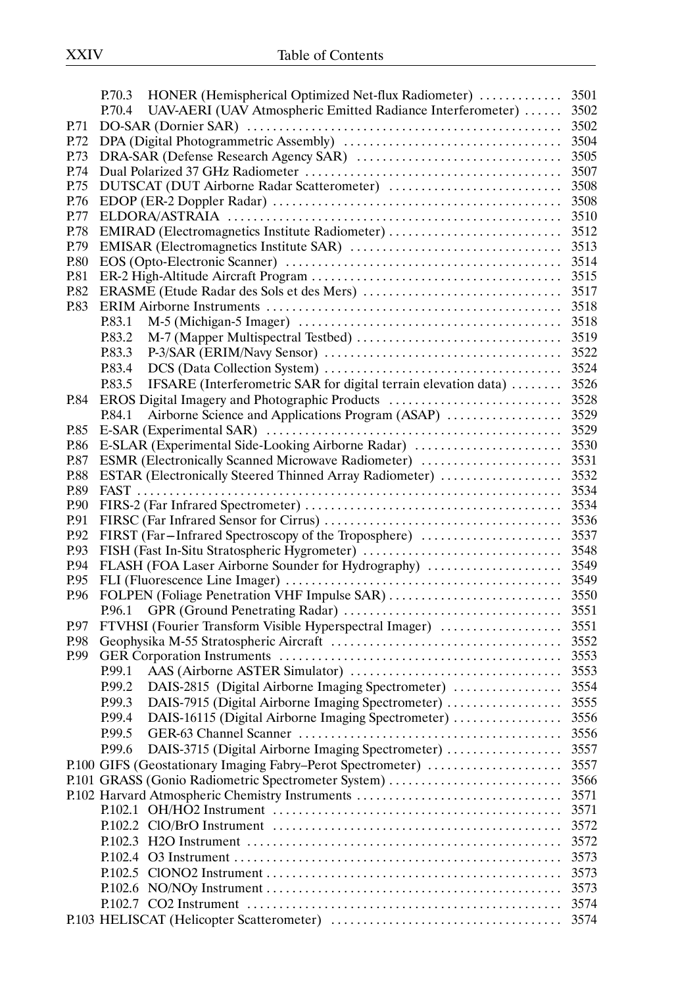|      | P.70.3 HONER (Hemispherical Optimized Net-flux Radiometer)  3501           |      |
|------|----------------------------------------------------------------------------|------|
|      | UAV-AERI (UAV Atmospheric Emitted Radiance Interferometer)  3502<br>P.70.4 |      |
| P.71 |                                                                            |      |
| P.72 |                                                                            |      |
| P.73 |                                                                            |      |
| P.74 |                                                                            |      |
| P.75 |                                                                            |      |
| P.76 |                                                                            |      |
| P.77 |                                                                            |      |
| P.78 |                                                                            |      |
| P.79 |                                                                            |      |
| P.80 |                                                                            |      |
| P.81 |                                                                            |      |
| P.82 |                                                                            |      |
| P.83 |                                                                            |      |
|      | P.83.1                                                                     |      |
|      | P.83.2                                                                     |      |
|      | P.83.3                                                                     |      |
|      | P.83.4                                                                     |      |
|      | IFSARE (Interferometric SAR for digital terrain elevation data)<br>P.83.5  | 3526 |
| P.84 | EROS Digital Imagery and Photographic Products                             | 3528 |
|      | Airborne Science and Applications Program (ASAP)<br>P.84.1                 | 3529 |
| P.85 |                                                                            |      |
| P.86 |                                                                            |      |
| P.87 |                                                                            |      |
| P.88 | ESTAR (Electronically Steered Thinned Array Radiometer)                    | 3532 |
| P.89 |                                                                            | 3534 |
| P.90 |                                                                            |      |
| P.91 |                                                                            |      |
| P.92 |                                                                            |      |
| P.93 |                                                                            |      |
| P.94 |                                                                            |      |
| P.95 |                                                                            |      |
| P.96 |                                                                            |      |
|      |                                                                            |      |
| P.97 | FTVHSI (Fourier Transform Visible Hyperspectral Imager)                    | 3551 |
| P.98 |                                                                            | 3552 |
| P.99 |                                                                            | 3553 |
|      | P.99.1                                                                     | 3553 |
|      | DAIS-2815 (Digital Airborne Imaging Spectrometer)<br>P.99.2                | 3554 |
|      | DAIS-7915 (Digital Airborne Imaging Spectrometer)<br>P.99.3                | 3555 |
|      | DAIS-16115 (Digital Airborne Imaging Spectrometer)<br>P.99.4               | 3556 |
|      |                                                                            |      |
|      | P.99.5                                                                     | 3556 |
|      | DAIS-3715 (Digital Airborne Imaging Spectrometer)<br>P.99.6                | 3557 |
|      | P.100 GIFS (Geostationary Imaging Fabry–Perot Spectrometer)                | 3557 |
|      | P.101 GRASS (Gonio Radiometric Spectrometer System)                        | 3566 |
|      | P.102 Harvard Atmospheric Chemistry Instruments                            | 3571 |
|      |                                                                            | 3571 |
|      |                                                                            | 3572 |
|      |                                                                            | 3572 |
|      |                                                                            | 3573 |
|      | P.102.5                                                                    | 3573 |
|      |                                                                            | 3573 |
|      |                                                                            | 3574 |
|      |                                                                            |      |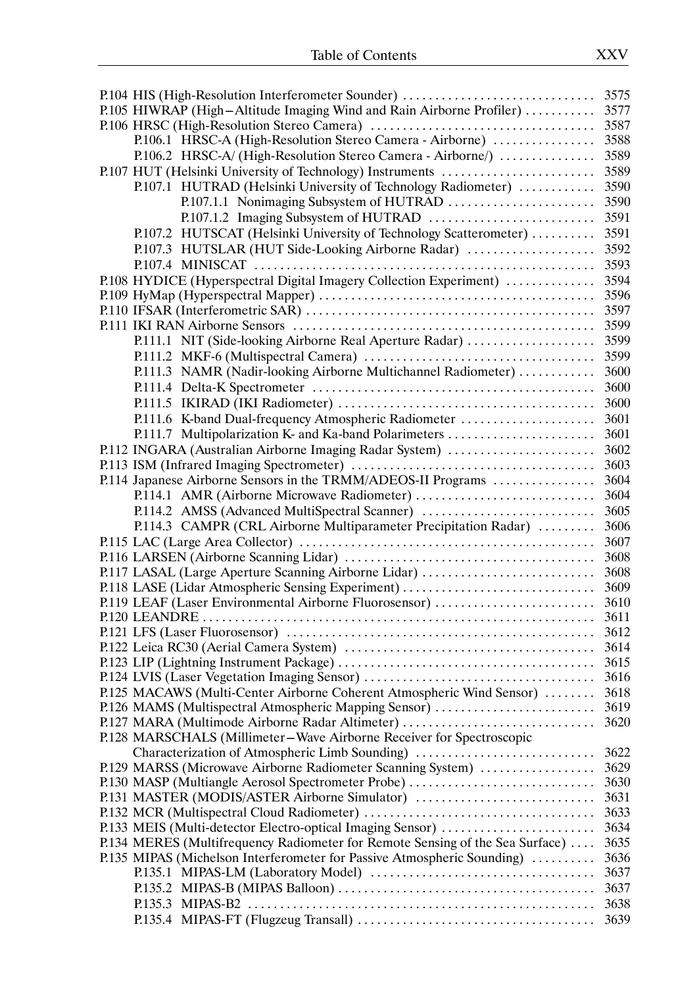| P.105 HIWRAP (High-Altitude Imaging Wind and Rain Airborne Profiler)<br>3577  |      |  |  |  |  |
|-------------------------------------------------------------------------------|------|--|--|--|--|
|                                                                               | 3587 |  |  |  |  |
| P.106.1 HRSC-A (High-Resolution Stereo Camera - Airborne)                     | 3588 |  |  |  |  |
| P.106.2 HRSC-A/ (High-Resolution Stereo Camera - Airborne/)                   | 3589 |  |  |  |  |
| P.107 HUT (Helsinki University of Technology) Instruments                     | 3589 |  |  |  |  |
| P.107.1 HUTRAD (Helsinki University of Technology Radiometer)                 | 3590 |  |  |  |  |
|                                                                               | 3590 |  |  |  |  |
|                                                                               | 3591 |  |  |  |  |
| P.107.2 HUTSCAT (Helsinki University of Technology Scatterometer)             | 3591 |  |  |  |  |
| P.107.3 HUTSLAR (HUT Side-Looking Airborne Radar)                             | 3592 |  |  |  |  |
|                                                                               | 3593 |  |  |  |  |
| P.108 HYDICE (Hyperspectral Digital Imagery Collection Experiment)            | 3594 |  |  |  |  |
|                                                                               | 3596 |  |  |  |  |
|                                                                               | 3597 |  |  |  |  |
|                                                                               | 3599 |  |  |  |  |
| P.111.1 NIT (Side-looking Airborne Real Aperture Radar)                       | 3599 |  |  |  |  |
|                                                                               | 3599 |  |  |  |  |
|                                                                               | 3600 |  |  |  |  |
| P.111.3 NAMR (Nadir-looking Airborne Multichannel Radiometer)                 |      |  |  |  |  |
|                                                                               | 3600 |  |  |  |  |
|                                                                               | 3600 |  |  |  |  |
| P.111.6 K-band Dual-frequency Atmospheric Radiometer                          | 3601 |  |  |  |  |
| P.111.7 Multipolarization K- and Ka-band Polarimeters                         | 3601 |  |  |  |  |
| P.112 INGARA (Australian Airborne Imaging Radar System)                       | 3602 |  |  |  |  |
|                                                                               | 3603 |  |  |  |  |
| P.114 Japanese Airborne Sensors in the TRMM/ADEOS-II Programs                 | 3604 |  |  |  |  |
|                                                                               | 3604 |  |  |  |  |
| P.114.2 AMSS (Advanced MultiSpectral Scanner)                                 | 3605 |  |  |  |  |
| P.114.3 CAMPR (CRL Airborne Multiparameter Precipitation Radar)               | 3606 |  |  |  |  |
|                                                                               | 3607 |  |  |  |  |
|                                                                               | 3608 |  |  |  |  |
| P.117 LASAL (Large Aperture Scanning Airborne Lidar)<br>3608                  |      |  |  |  |  |
| P.118 LASE (Lidar Atmospheric Sensing Experiment)<br>3609                     |      |  |  |  |  |
| P.119 LEAF (Laser Environmental Airborne Fluorosensor)<br>3610                |      |  |  |  |  |
|                                                                               | 3611 |  |  |  |  |
|                                                                               | 3612 |  |  |  |  |
|                                                                               | 3614 |  |  |  |  |
|                                                                               | 3615 |  |  |  |  |
|                                                                               | 3616 |  |  |  |  |
| P.125 MACAWS (Multi-Center Airborne Coherent Atmospheric Wind Sensor)         | 3618 |  |  |  |  |
| P.126 MAMS (Multispectral Atmospheric Mapping Sensor)                         | 3619 |  |  |  |  |
| P.127 MARA (Multimode Airborne Radar Altimeter)                               | 3620 |  |  |  |  |
| P.128 MARSCHALS (Millimeter-Wave Airborne Receiver for Spectroscopic          |      |  |  |  |  |
| Characterization of Atmospheric Limb Sounding)                                | 3622 |  |  |  |  |
| P.129 MARSS (Microwave Airborne Radiometer Scanning System)                   | 3629 |  |  |  |  |
| P.130 MASP (Multiangle Aerosol Spectrometer Probe)                            | 3630 |  |  |  |  |
| P.131 MASTER (MODIS/ASTER Airborne Simulator)                                 | 3631 |  |  |  |  |
|                                                                               | 3633 |  |  |  |  |
| P.133 MEIS (Multi-detector Electro-optical Imaging Sensor)                    | 3634 |  |  |  |  |
| P.134 MERES (Multifrequency Radiometer for Remote Sensing of the Sea Surface) | 3635 |  |  |  |  |
| P.135 MIPAS (Michelson Interferometer for Passive Atmospheric Sounding)       | 3636 |  |  |  |  |
|                                                                               | 3637 |  |  |  |  |
|                                                                               | 3637 |  |  |  |  |
|                                                                               | 3638 |  |  |  |  |
|                                                                               | 3639 |  |  |  |  |
|                                                                               |      |  |  |  |  |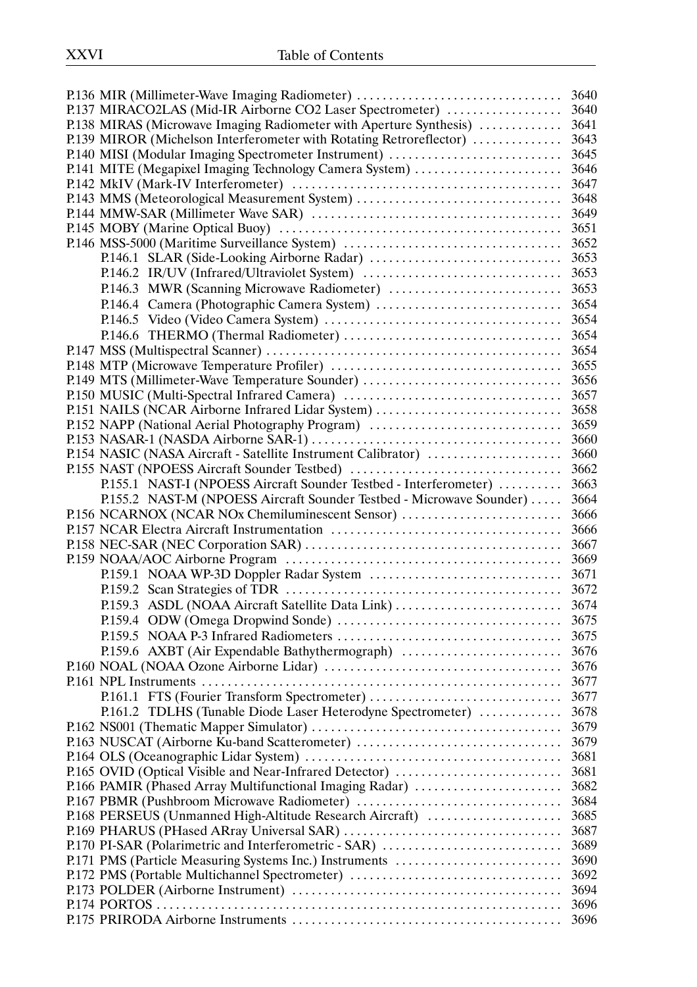| P.138 MIRAS (Microwave Imaging Radiometer with Aperture Synthesis)   | 3641 |
|----------------------------------------------------------------------|------|
| P.139 MIROR (Michelson Interferometer with Rotating Retroreflector)  | 3643 |
| P.140 MISI (Modular Imaging Spectrometer Instrument)                 | 3645 |
| P.141 MITE (Megapixel Imaging Technology Camera System)              | 3646 |
|                                                                      | 3647 |
|                                                                      |      |
|                                                                      |      |
|                                                                      |      |
|                                                                      |      |
|                                                                      |      |
|                                                                      |      |
|                                                                      | 3653 |
|                                                                      | 3654 |
|                                                                      |      |
|                                                                      |      |
|                                                                      |      |
|                                                                      |      |
|                                                                      |      |
|                                                                      |      |
|                                                                      |      |
|                                                                      |      |
|                                                                      |      |
| P.154 NASIC (NASA Aircraft - Satellite Instrument Calibrator)        | 3660 |
| P.155 NAST (NPOESS Aircraft Sounder Testbed)                         | 3662 |
| P.155.1 NAST-I (NPOESS Aircraft Sounder Testbed - Interferometer)    | 3663 |
| P.155.2 NAST-M (NPOESS Aircraft Sounder Testbed - Microwave Sounder) | 3664 |
| P.156 NCARNOX (NCAR NOx Chemiluminescent Sensor)                     | 3666 |
|                                                                      |      |
|                                                                      |      |
|                                                                      |      |
|                                                                      |      |
|                                                                      |      |
|                                                                      |      |
|                                                                      | 3675 |
|                                                                      |      |
|                                                                      |      |
|                                                                      | 3676 |
|                                                                      | 3677 |
| P.161.1 FTS (Fourier Transform Spectrometer)                         | 3677 |
| P.161.2 TDLHS (Tunable Diode Laser Heterodyne Spectrometer)          | 3678 |
|                                                                      | 3679 |
| P.163 NUSCAT (Airborne Ku-band Scatterometer)                        | 3679 |
|                                                                      | 3681 |
| P.165 OVID (Optical Visible and Near-Infrared Detector)              | 3681 |
| P.166 PAMIR (Phased Array Multifunctional Imaging Radar)             | 3682 |
|                                                                      | 3684 |
| P.168 PERSEUS (Unmanned High-Altitude Research Aircraft)             | 3685 |
|                                                                      | 3687 |
| P.170 PI-SAR (Polarimetric and Interferometric - SAR)                | 3689 |
| P.171 PMS (Particle Measuring Systems Inc.) Instruments              | 3690 |
| P.172 PMS (Portable Multichannel Spectrometer)                       | 3692 |
|                                                                      | 3694 |
|                                                                      | 3696 |
|                                                                      |      |